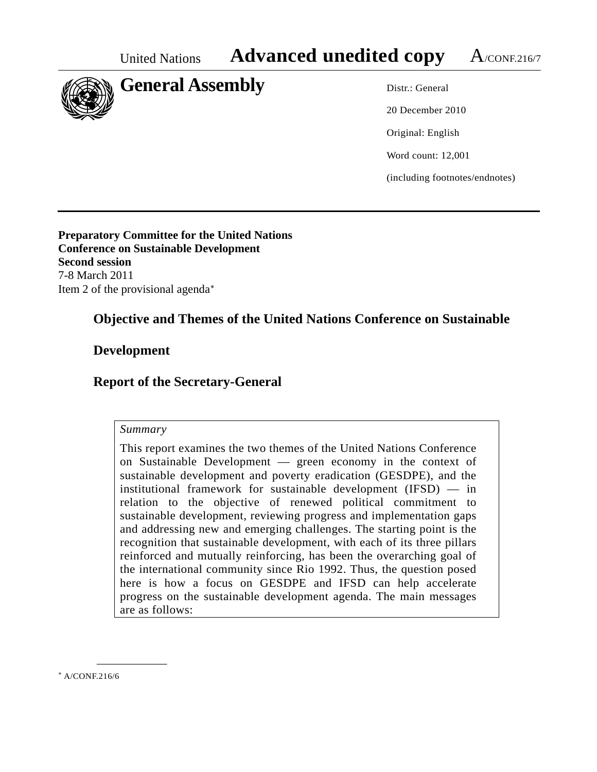

20 December 2010 Original: English Word count: 12,001 (including footnotes/endnotes)

**Preparatory Committee for the United Nations Conference on Sustainable Development Second session**  7-8 March 2011 Item 2 of the provisional agenda

# **Objective and Themes of the United Nations Conference on Sustainable**

## **Development**

## **Report of the Secretary-General**

#### *Summary*

This report examines the two themes of the United Nations Conference on Sustainable Development — green economy in the context of sustainable development and poverty eradication (GESDPE), and the institutional framework for sustainable development (IFSD) — in relation to the objective of renewed political commitment to sustainable development, reviewing progress and implementation gaps and addressing new and emerging challenges. The starting point is the recognition that sustainable development, with each of its three pillars reinforced and mutually reinforcing, has been the overarching goal of the international community since Rio 1992. Thus, the question posed here is how a focus on GESDPE and IFSD can help accelerate progress on the sustainable development agenda. The main messages are as follows:

<span id="page-0-0"></span>A/CONF.216/6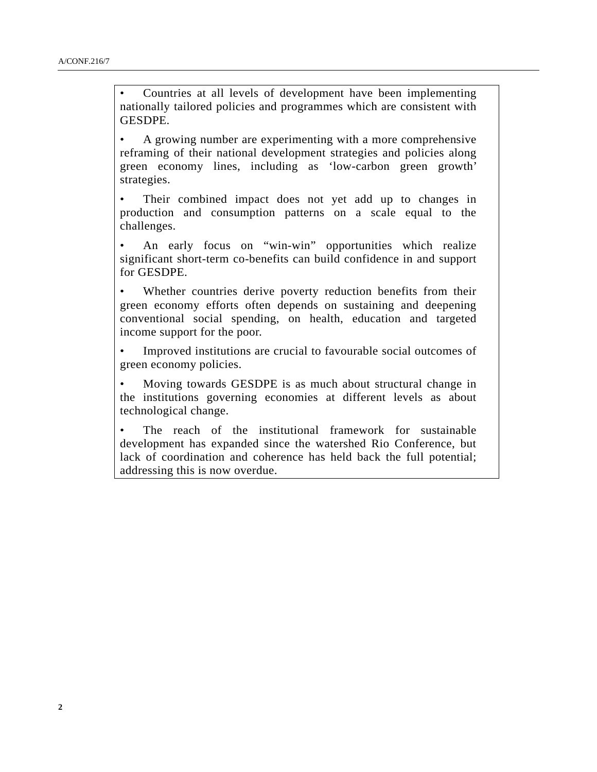• Countries at all levels of development have been implementing nationally tailored policies and programmes which are consistent with GESDPE.

• A growing number are experimenting with a more comprehensive reframing of their national development strategies and policies along green economy lines, including as 'low-carbon green growth' strategies.

Their combined impact does not yet add up to changes in production and consumption patterns on a scale equal to the challenges.

An early focus on "win-win" opportunities which realize significant short-term co-benefits can build confidence in and support for GESDPE.

Whether countries derive poverty reduction benefits from their green economy efforts often depends on sustaining and deepening conventional social spending, on health, education and targeted income support for the poor.

• Improved institutions are crucial to favourable social outcomes of green economy policies.

• Moving towards GESDPE is as much about structural change in the institutions governing economies at different levels as about technological change.

The reach of the institutional framework for sustainable development has expanded since the watershed Rio Conference, but lack of coordination and coherence has held back the full potential; addressing this is now overdue.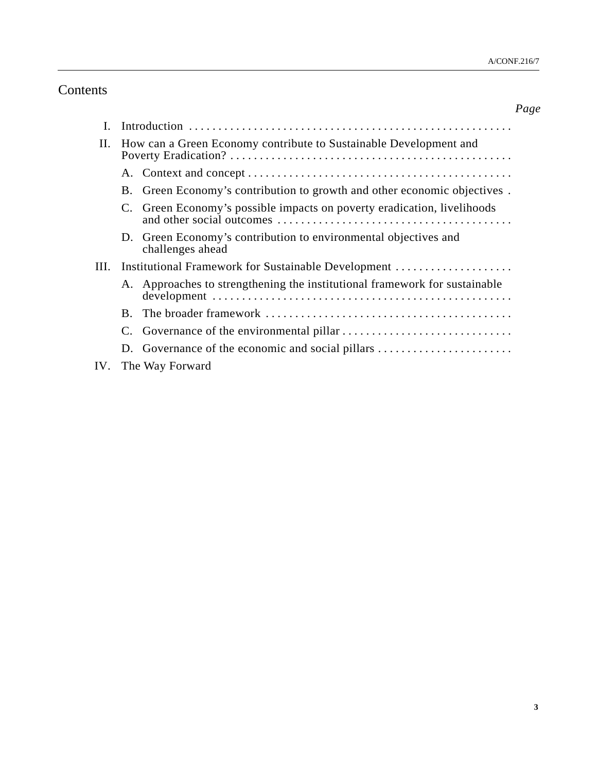# Contents

|      |                                                                   |                                                                                     | Page |
|------|-------------------------------------------------------------------|-------------------------------------------------------------------------------------|------|
| L    |                                                                   |                                                                                     |      |
| H.   | How can a Green Economy contribute to Sustainable Development and |                                                                                     |      |
|      |                                                                   |                                                                                     |      |
|      | <b>B.</b>                                                         | Green Economy's contribution to growth and other economic objectives.               |      |
|      | C.                                                                | Green Economy's possible impacts on poverty eradication, livelihoods                |      |
|      |                                                                   | D. Green Economy's contribution to environmental objectives and<br>challenges ahead |      |
| III. | Institutional Framework for Sustainable Development               |                                                                                     |      |
|      | A.                                                                | Approaches to strengthening the institutional framework for sustainable             |      |
|      | $\mathbf{B}$                                                      |                                                                                     |      |
|      | C.                                                                |                                                                                     |      |
|      | D.                                                                | Governance of the economic and social pillars                                       |      |
| IV.  |                                                                   | The Way Forward                                                                     |      |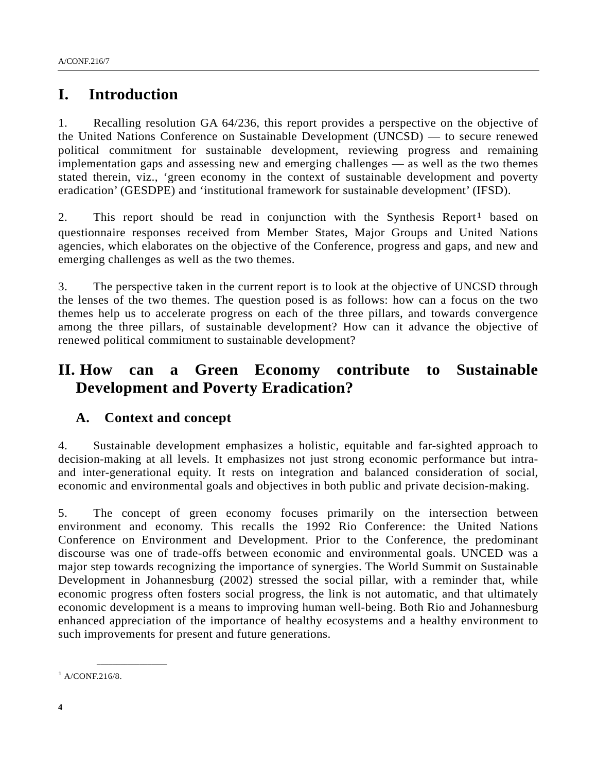# **I. Introduction**

1. Recalling resolution GA 64/236, this report provides a perspective on the objective of the United Nations Conference on Sustainable Development (UNCSD) — to secure renewed political commitment for sustainable development, reviewing progress and remaining implementation gaps and assessing new and emerging challenges — as well as the two themes stated therein, viz., 'green economy in the context of sustainable development and poverty eradication' (GESDPE) and 'institutional framework for sustainable development' (IFSD).

2. This report should be read in conjunction with the Synthesis Report<sup>[1](#page-3-0)</sup> based on questionnaire responses received from Member States, Major Groups and United Nations agencies, which elaborates on the objective of the Conference, progress and gaps, and new and emerging challenges as well as the two themes.

3. The perspective taken in the current report is to look at the objective of UNCSD through the lenses of the two themes. The question posed is as follows: how can a focus on the two themes help us to accelerate progress on each of the three pillars, and towards convergence among the three pillars, of sustainable development? How can it advance the objective of renewed political commitment to sustainable development?

# **II. How can a Green Economy contribute to Sustainable Development and Poverty Eradication?**

## **A. Context and concept**

4. Sustainable development emphasizes a holistic, equitable and far-sighted approach to decision-making at all levels. It emphasizes not just strong economic performance but intraand inter-generational equity. It rests on integration and balanced consideration of social, economic and environmental goals and objectives in both public and private decision-making.

5. The concept of green economy focuses primarily on the intersection between environment and economy. This recalls the 1992 Rio Conference: the United Nations Conference on Environment and Development. Prior to the Conference, the predominant discourse was one of trade-offs between economic and environmental goals. UNCED was a major step towards recognizing the importance of synergies. The World Summit on Sustainable Development in Johannesburg (2002) stressed the social pillar, with a reminder that, while economic progress often fosters social progress, the link is not automatic, and that ultimately economic development is a means to improving human well-being. Both Rio and Johannesburg enhanced appreciation of the importance of healthy ecosystems and a healthy environment to such improvements for present and future generations.

<span id="page-3-0"></span> $1$  A/CONF.216/8.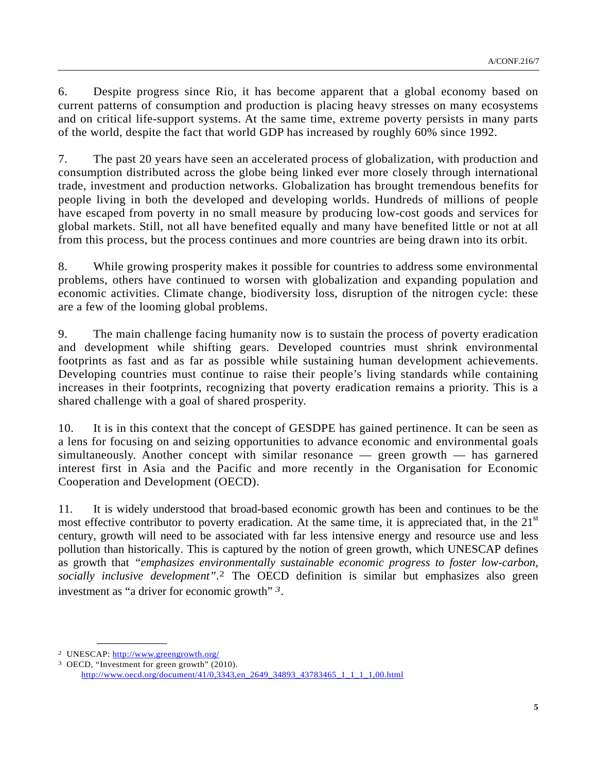6. Despite progress since Rio, it has become apparent that a global economy based on current patterns of consumption and production is placing heavy stresses on many ecosystems and on critical life-support systems. At the same time, extreme poverty persists in many parts of the world, despite the fact that world GDP has increased by roughly 60% since 1992.

7. The past 20 years have seen an accelerated process of globalization, with production and consumption distributed across the globe being linked ever more closely through international trade, investment and production networks. Globalization has brought tremendous benefits for people living in both the developed and developing worlds. Hundreds of millions of people have escaped from poverty in no small measure by producing low-cost goods and services for global markets. Still, not all have benefited equally and many have benefited little or not at all from this process, but the process continues and more countries are being drawn into its orbit.

8. While growing prosperity makes it possible for countries to address some environmental problems, others have continued to worsen with globalization and expanding population and economic activities. Climate change, biodiversity loss, disruption of the nitrogen cycle: these are a few of the looming global problems.

9. The main challenge facing humanity now is to sustain the process of poverty eradication and development while shifting gears. Developed countries must shrink environmental footprints as fast and as far as possible while sustaining human development achievements. Developing countries must continue to raise their people's living standards while containing increases in their footprints, recognizing that poverty eradication remains a priority. This is a shared challenge with a goal of shared prosperity.

10. It is in this context that the concept of GESDPE has gained pertinence. It can be seen as a lens for focusing on and seizing opportunities to advance economic and environmental goals simultaneously. Another concept with similar resonance — green growth — has garnered interest first in Asia and the Pacific and more recently in the Organisation for Economic Cooperation and Development (OECD).

11. It is widely understood that broad-based economic growth has been and continues to be the most effective contributor to poverty eradication. At the same time, it is appreciated that, in the  $21<sup>st</sup>$ century, growth will need to be associated with far less intensive energy and resource use and less pollution than historically. This is captured by the notion of green growth, which UNESCAP defines as growth that *"emphasizes environmentally sustainable economic progress to foster low-carbon, socially inclusive development"*. [2](#page-4-0) The OECD definition is similar but emphasizes also green investment as "a driver for economic growth" *[3](#page-4-1)*.

<span id="page-4-0"></span><sup>2</sup> UNESCAP:<http://www.greengrowth.org/>

<span id="page-4-1"></span><sup>3</sup> OECD, "Investment for green growth" (2010). [http://www.oecd.org/document/41/0,3343,en\\_2649\\_34893\\_43783465\\_1\\_1\\_1\\_1,00.html](http://www.oecd.org/document/41/0,3343,en_2649_34893_43783465_1_1_1_1,00.html)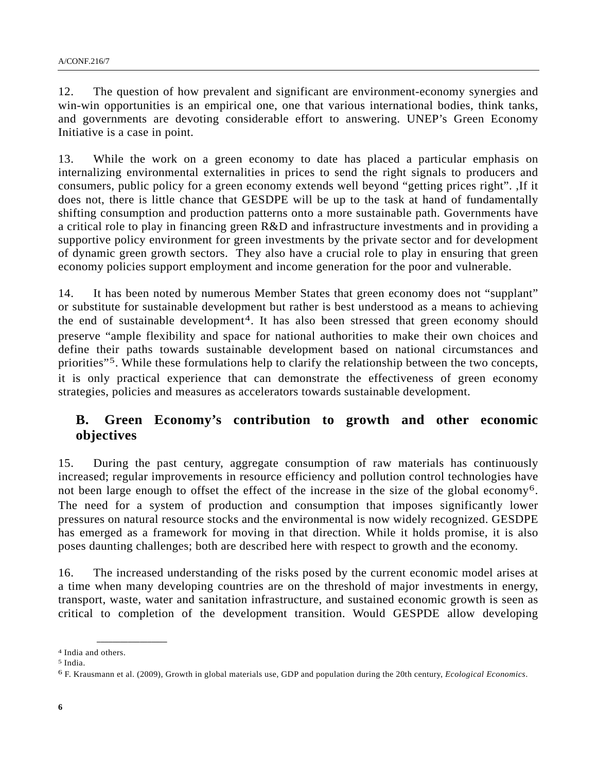12. The question of how prevalent and significant are environment-economy synergies and win-win opportunities is an empirical one, one that various international bodies, think tanks, and governments are devoting considerable effort to answering. UNEP's Green Economy Initiative is a case in point.

13. While the work on a green economy to date has placed a particular emphasis on internalizing environmental externalities in prices to send the right signals to producers and consumers, public policy for a green economy extends well beyond "getting prices right". ,If it does not, there is little chance that GESDPE will be up to the task at hand of fundamentally shifting consumption and production patterns onto a more sustainable path. Governments have a critical role to play in financing green R&D and infrastructure investments and in providing a supportive policy environment for green investments by the private sector and for development of dynamic green growth sectors. They also have a crucial role to play in ensuring that green economy policies support employment and income generation for the poor and vulnerable.

14. It has been noted by numerous Member States that green economy does not "supplant" or substitute for sustainable development but rather is best understood as a means to achieving the end of sustainable development<sup>[4](#page-5-0)</sup>. It has also been stressed that green economy should preserve "ample flexibility and space for national authorities to make their own choices and define their paths towards sustainable development based on national circumstances and priorities"<sup>[5](#page-5-1)</sup>. While these formulations help to clarify the relationship between the two concepts, it is only practical experience that can demonstrate the effectiveness of green economy strategies, policies and measures as accelerators towards sustainable development.

## **B. Green Economy's contribution to growth and other economic objectives**

15. During the past century, aggregate consumption of raw materials has continuously increased; regular improvements in resource efficiency and pollution control technologies have not been large enough to offset the effect of the increase in the size of the global economy<sup>[6](#page-5-2)</sup>. The need for a system of production and consumption that imposes significantly lower pressures on natural resource stocks and the environmental is now widely recognized. GESDPE has emerged as a framework for moving in that direction. While it holds promise, it is also poses daunting challenges; both are described here with respect to growth and the economy.

16. The increased understanding of the risks posed by the current economic model arises at a time when many developing countries are on the threshold of major investments in energy, transport, waste, water and sanitation infrastructure, and sustained economic growth is seen as critical to completion of the development transition. Would GESPDE allow developing

<span id="page-5-0"></span><sup>4</sup> India and others.

<span id="page-5-1"></span><sup>5</sup> India.

<span id="page-5-2"></span><sup>6</sup> F. Krausmann et al. (2009), Growth in global materials use, GDP and population during the 20th century, *Ecological Economics*.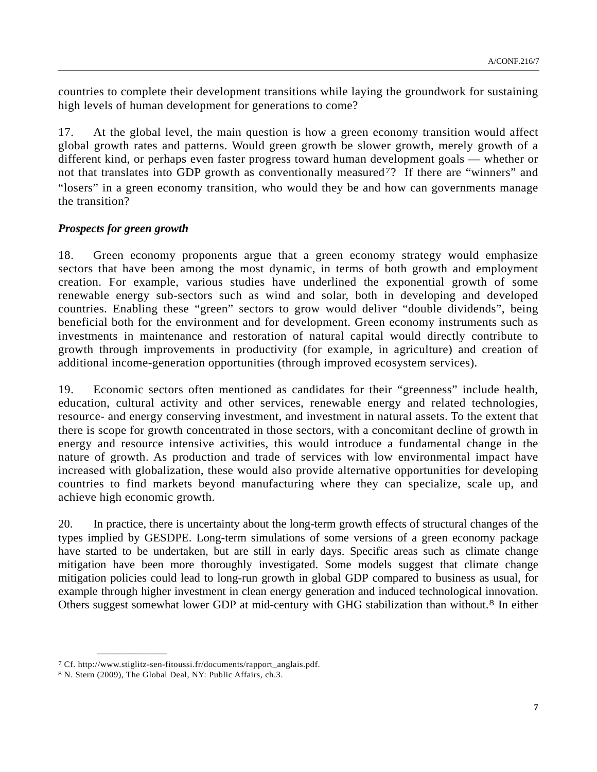countries to complete their development transitions while laying the groundwork for sustaining high levels of human development for generations to come?

17. At the global level, the main question is how a green economy transition would affect global growth rates and patterns. Would green growth be slower growth, merely growth of a different kind, or perhaps even faster progress toward human development goals — whether or not that translates into GDP growth as conventionally measured<sup>[7](#page-6-0)</sup>? If there are "winners" and "losers" in a green economy transition, who would they be and how can governments manage the transition?

### *Prospects for green growth*

18. Green economy proponents argue that a green economy strategy would emphasize sectors that have been among the most dynamic, in terms of both growth and employment creation. For example, various studies have underlined the exponential growth of some renewable energy sub-sectors such as wind and solar, both in developing and developed countries. Enabling these "green" sectors to grow would deliver "double dividends", being beneficial both for the environment and for development. Green economy instruments such as investments in maintenance and restoration of natural capital would directly contribute to growth through improvements in productivity (for example, in agriculture) and creation of additional income-generation opportunities (through improved ecosystem services).

19. Economic sectors often mentioned as candidates for their "greenness" include health, education, cultural activity and other services, renewable energy and related technologies, resource- and energy conserving investment, and investment in natural assets. To the extent that there is scope for growth concentrated in those sectors, with a concomitant decline of growth in energy and resource intensive activities, this would introduce a fundamental change in the nature of growth. As production and trade of services with low environmental impact have increased with globalization, these would also provide alternative opportunities for developing countries to find markets beyond manufacturing where they can specialize, scale up, and achieve high economic growth.

20. In practice, there is uncertainty about the long-term growth effects of structural changes of the types implied by GESDPE. Long-term simulations of some versions of a green economy package have started to be undertaken, but are still in early days. Specific areas such as climate change mitigation have been more thoroughly investigated. Some models suggest that climate change mitigation policies could lead to long-run growth in global GDP compared to business as usual, for example through higher investment in clean energy generation and induced technological innovation. Others suggest somewhat lower GDP at mid-century with GHG stabilization than without.[8](#page-6-1) In either

<span id="page-6-0"></span><sup>7</sup> Cf. http://www.stiglitz-sen-fitoussi.fr/documents/rapport\_anglais.pdf. 8 N. Stern (2009), The Global Deal, NY: Public Affairs, ch.3.

<span id="page-6-1"></span>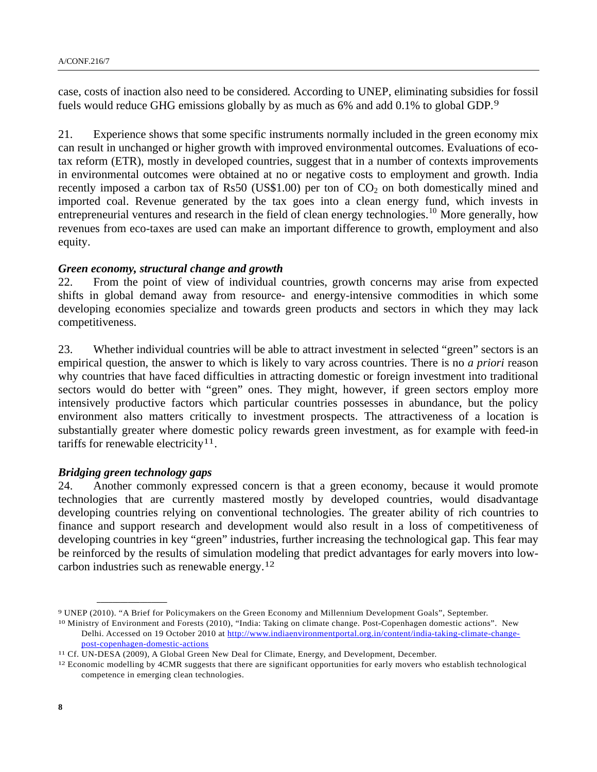case, costs of inaction also need to be considered. According to UNEP, eliminating subsidies for fossil fuels would reduce GHG emissions globally by as much as 6% and add 0.1% to global GDP.9

21. Experience shows that some specific instruments normally included in the green economy mix can result in unchanged or higher growth with improved environmental outcomes. Evaluations of ecotax reform (ETR), mostly in developed countries, suggest that in a number of contexts improvements in environmental outcomes were obtained at no or negative costs to employment and growth. India recently imposed a carbon tax of Rs50 (US\$1.00) per ton of  $CO<sub>2</sub>$  on both domestically mined and imported coal. Revenue generated by the tax goes into a clean energy fund, which invests in entrepreneurial ventures and research in the field of clean energy technologies.<sup>[10](#page-7-0)</sup> More generally, how revenues from eco-taxes are used can make an important difference to growth, employment and also equity.

#### *Green economy, structural change and growth*

22. From the point of view of individual countries, growth concerns may arise from expected shifts in global demand away from resource- and energy-intensive commodities in which some developing economies specialize and towards green products and sectors in which they may lack competitiveness.

23. Whether individual countries will be able to attract investment in selected "green" sectors is an empirical question, the answer to which is likely to vary across countries. There is no *a priori* reason why countries that have faced difficulties in attracting domestic or foreign investment into traditional sectors would do better with "green" ones. They might, however, if green sectors employ more intensively productive factors which particular countries possesses in abundance, but the policy environment also matters critically to investment prospects. The attractiveness of a location is substantially greater where domestic policy rewards green investment, as for example with feed-in tariffs for renewable electricity<sup>[11](#page-7-1)</sup>.

#### *Bridging green technology gaps*

**\_\_\_\_\_\_\_\_\_\_\_\_\_\_\_\_\_\_** 

24. Another commonly expressed concern is that a green economy, because it would promote technologies that are currently mastered mostly by developed countries, would disadvantage developing countries relying on conventional technologies. The greater ability of rich countries to finance and support research and development would also result in a loss of competitiveness of developing countries in key "green" industries, further increasing the technological gap. This fear may be reinforced by the results of simulation modeling that predict advantages for early movers into lowcarbon industries such as renewable energy.[12](#page-7-2)

<sup>&</sup>lt;sup>9</sup> UNEP (2010). "A Brief for Policymakers on the Green Economy and Millennium Development Goals", September.<br><sup>10</sup> Ministry of Environment and Forests (2010), "India: Taking on climate change. Post-Copenhagen domestic acti

<span id="page-7-0"></span>Delhi. Accessed on 19 October 2010 at [http://www.indiaenvironmentportal.org.in/content/india-taking-climate-change](http://www.indiaenvironmentportal.org.in/content/india-taking-climate-change-post-copenhagen-domestic-actions)[post-copenhagen-domestic-actions](http://www.indiaenvironmentportal.org.in/content/india-taking-climate-change-post-copenhagen-domestic-actions)<br><sup>11</sup> Cf. UN-DESA (2009), A Global Green New Deal for Climate, Energy, and Development, December.<br><sup>12</sup> Economic modelling by 4CMR suggests that there are significant opportunities for early

<span id="page-7-2"></span><span id="page-7-1"></span>

competence in emerging clean technologies.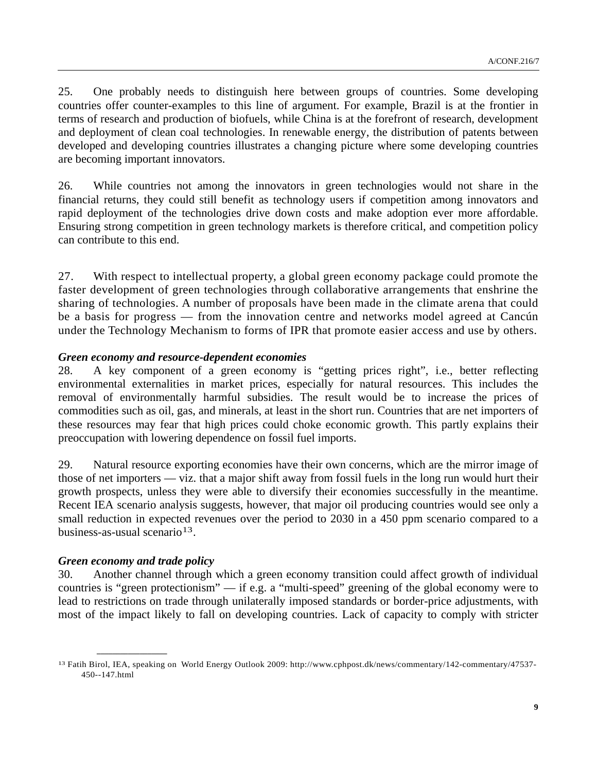25. One probably needs to distinguish here between groups of countries. Some developing countries offer counter-examples to this line of argument. For example, Brazil is at the frontier in terms of research and production of biofuels, while China is at the forefront of research, development and deployment of clean coal technologies. In renewable energy, the distribution of patents between developed and developing countries illustrates a changing picture where some developing countries are becoming important innovators.

26. While countries not among the innovators in green technologies would not share in the financial returns, they could still benefit as technology users if competition among innovators and rapid deployment of the technologies drive down costs and make adoption ever more affordable. Ensuring strong competition in green technology markets is therefore critical, and competition policy can contribute to this end.

27. With respect to intellectual property, a global green economy package could promote the faster development of green technologies through collaborative arrangements that enshrine the sharing of technologies. A number of proposals have been made in the climate arena that could be a basis for progress — from the innovation centre and networks model agreed at Cancún under the Technology Mechanism to forms of IPR that promote easier access and use by others.

#### *Green economy and resource-dependent economies*

28. A key component of a green economy is "getting prices right", i.e., better reflecting environmental externalities in market prices, especially for natural resources. This includes the removal of environmentally harmful subsidies. The result would be to increase the prices of commodities such as oil, gas, and minerals, at least in the short run. Countries that are net importers of these resources may fear that high prices could choke economic growth. This partly explains their preoccupation with lowering dependence on fossil fuel imports.

29. Natural resource exporting economies have their own concerns, which are the mirror image of those of net importers — viz. that a major shift away from fossil fuels in the long run would hurt their growth prospects, unless they were able to diversify their economies successfully in the meantime. Recent IEA scenario analysis suggests, however, that major oil producing countries would see only a small reduction in expected revenues over the period to 2030 in a 450 ppm scenario compared to a business-as-usual scenario<sup>[13](#page-8-0)</sup>.

#### *Green economy and trade policy*

**\_\_\_\_\_\_\_\_\_\_\_\_\_\_\_\_\_\_** 

30. Another channel through which a green economy transition could affect growth of individual countries is "green protectionism" — if e.g. a "multi-speed" greening of the global economy were to lead to restrictions on trade through unilaterally imposed standards or border-price adjustments, with most of the impact likely to fall on developing countries. Lack of capacity to comply with stricter

<span id="page-8-0"></span><sup>13</sup> Fatih Birol, IEA, speaking on World Energy Outlook 2009: http://www.cphpost.dk/news/commentary/142-commentary/47537- 450--147.html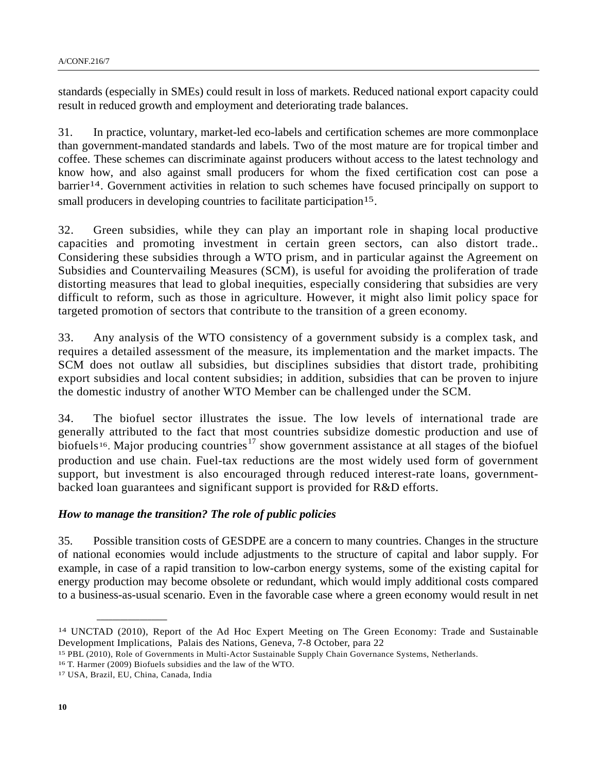standards (especially in SMEs) could result in loss of markets. Reduced national export capacity could result in reduced growth and employment and deteriorating trade balances.

31. In practice, voluntary, market-led eco-labels and certification schemes are more commonplace than government-mandated standards and labels. Two of the most mature are for tropical timber and coffee. These schemes can discriminate against producers without access to the latest technology and know how, and also against small producers for whom the fixed certification cost can pose a barrier<sup>[14](#page-9-0)</sup>. Government activities in relation to such schemes have focused principally on support to small producers in developing countries to facilitate participation<sup>[15](#page-9-1)</sup>.

32. Green subsidies, while they can play an important role in shaping local productive capacities and promoting investment in certain green sectors, can also distort trade.. Considering these subsidies through a WTO prism, and in particular against the Agreement on Subsidies and Countervailing Measures (SCM), is useful for avoiding the proliferation of trade distorting measures that lead to global inequities, especially considering that subsidies are very difficult to reform, such as those in agriculture. However, it might also limit policy space for targeted promotion of sectors that contribute to the transition of a green economy.

33. Any analysis of the WTO consistency of a government subsidy is a complex task, and requires a detailed assessment of the measure, its implementation and the market impacts. The SCM does not outlaw all subsidies, but disciplines subsidies that distort trade, prohibiting export subsidies and local content subsidies; in addition, subsidies that can be proven to injure the domestic industry of another WTO Member can be challenged under the SCM.

34. The biofuel sector illustrates the issue. The low levels of international trade are generally attributed to the fact that most countries subsidize domestic production and use of biofuels<sup>[16](#page-9-2)</sup>. Major producing countries<sup>[17](#page-9-3)</sup> show government assistance at all stages of the biofuel production and use chain. Fuel-tax reductions are the most widely used form of government support, but investment is also encouraged through reduced interest-rate loans, governmentbacked loan guarantees and significant support is provided for R&D efforts.

#### *How to manage the transition? The role of public policies*

35. Possible transition costs of GESDPE are a concern to many countries. Changes in the structure of national economies would include adjustments to the structure of capital and labor supply. For example, in case of a rapid transition to low-carbon energy systems, some of the existing capital for energy production may become obsolete or redundant, which would imply additional costs compared to a business-as-usual scenario. Even in the favorable case where a green economy would result in net

<span id="page-9-0"></span><sup>14</sup> UNCTAD (2010), Report of the Ad Hoc Expert Meeting on The Green Economy: Trade and Sustainable Development Implications, Palais des Nations, Geneva, 7-8 October, para 22

<span id="page-9-1"></span><sup>&</sup>lt;sup>15</sup> PBL (2010), Role of Governments in Multi-Actor Sustainable Supply Chain Governance Systems, Netherlands. <sup>16</sup> T. Harmer (2009) Biofuels subsidies and the law of the WTO. <sup>17</sup> USA, Brazil, EU, China, Canada, India

<span id="page-9-3"></span><span id="page-9-2"></span>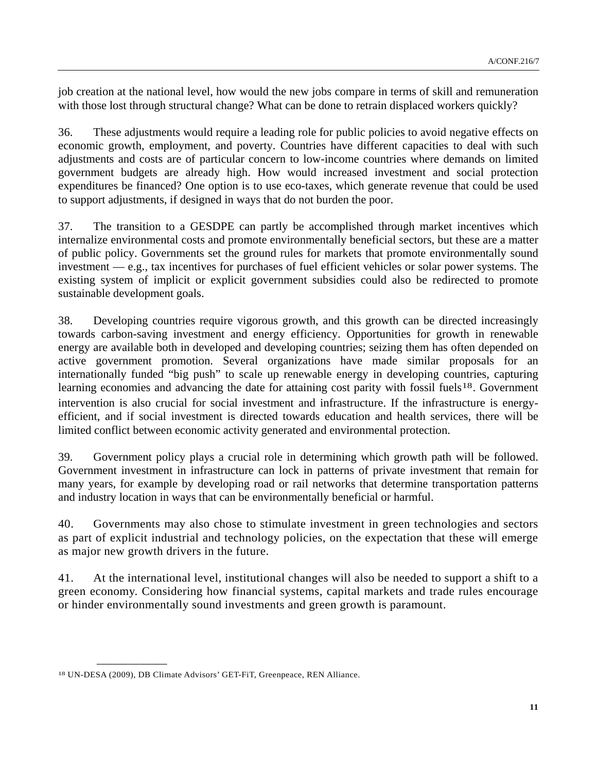job creation at the national level, how would the new jobs compare in terms of skill and remuneration with those lost through structural change? What can be done to retrain displaced workers quickly?

36. These adjustments would require a leading role for public policies to avoid negative effects on economic growth, employment, and poverty. Countries have different capacities to deal with such adjustments and costs are of particular concern to low-income countries where demands on limited government budgets are already high. How would increased investment and social protection expenditures be financed? One option is to use eco-taxes, which generate revenue that could be used to support adjustments, if designed in ways that do not burden the poor.

37. The transition to a GESDPE can partly be accomplished through market incentives which internalize environmental costs and promote environmentally beneficial sectors, but these are a matter of public policy. Governments set the ground rules for markets that promote environmentally sound investment — e.g., tax incentives for purchases of fuel efficient vehicles or solar power systems. The existing system of implicit or explicit government subsidies could also be redirected to promote sustainable development goals.

38. Developing countries require vigorous growth, and this growth can be directed increasingly towards carbon-saving investment and energy efficiency. Opportunities for growth in renewable energy are available both in developed and developing countries; seizing them has often depended on active government promotion. Several organizations have made similar proposals for an internationally funded "big push" to scale up renewable energy in developing countries, capturing learning economies and advancing the date for attaining cost parity with fossil fuels<sup>[18](#page-10-0)</sup>. Government intervention is also crucial for social investment and infrastructure. If the infrastructure is energyefficient, and if social investment is directed towards education and health services, there will be limited conflict between economic activity generated and environmental protection.

39. Government policy plays a crucial role in determining which growth path will be followed. Government investment in infrastructure can lock in patterns of private investment that remain for many years, for example by developing road or rail networks that determine transportation patterns and industry location in ways that can be environmentally beneficial or harmful.

40. Governments may also chose to stimulate investment in green technologies and sectors as part of explicit industrial and technology policies, on the expectation that these will emerge as major new growth drivers in the future.

41. At the international level, institutional changes will also be needed to support a shift to a green economy. Considering how financial systems, capital markets and trade rules encourage or hinder environmentally sound investments and green growth is paramount.

<span id="page-10-0"></span><sup>18</sup> UN-DESA (2009), DB Climate Advisors' GET-FiT, Greenpeace, REN Alliance.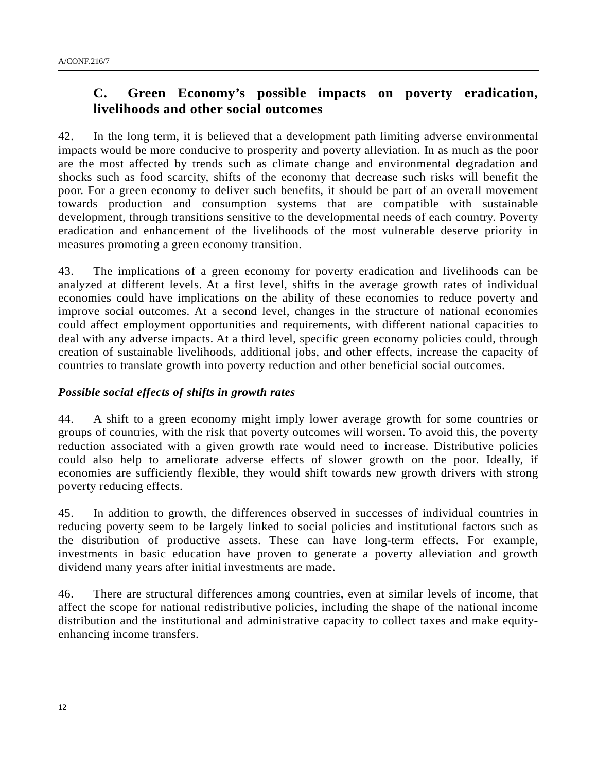## **C. Green Economy's possible impacts on poverty eradication, livelihoods and other social outcomes**

42. In the long term, it is believed that a development path limiting adverse environmental impacts would be more conducive to prosperity and poverty alleviation. In as much as the poor are the most affected by trends such as climate change and environmental degradation and shocks such as food scarcity, shifts of the economy that decrease such risks will benefit the poor. For a green economy to deliver such benefits, it should be part of an overall movement towards production and consumption systems that are compatible with sustainable development, through transitions sensitive to the developmental needs of each country. Poverty eradication and enhancement of the livelihoods of the most vulnerable deserve priority in measures promoting a green economy transition.

43. The implications of a green economy for poverty eradication and livelihoods can be analyzed at different levels. At a first level, shifts in the average growth rates of individual economies could have implications on the ability of these economies to reduce poverty and improve social outcomes. At a second level, changes in the structure of national economies could affect employment opportunities and requirements, with different national capacities to deal with any adverse impacts. At a third level, specific green economy policies could, through creation of sustainable livelihoods, additional jobs, and other effects, increase the capacity of countries to translate growth into poverty reduction and other beneficial social outcomes.

### *Possible social effects of shifts in growth rates*

44. A shift to a green economy might imply lower average growth for some countries or groups of countries, with the risk that poverty outcomes will worsen. To avoid this, the poverty reduction associated with a given growth rate would need to increase. Distributive policies could also help to ameliorate adverse effects of slower growth on the poor. Ideally, if economies are sufficiently flexible, they would shift towards new growth drivers with strong poverty reducing effects.

45. In addition to growth, the differences observed in successes of individual countries in reducing poverty seem to be largely linked to social policies and institutional factors such as the distribution of productive assets. These can have long-term effects. For example, investments in basic education have proven to generate a poverty alleviation and growth dividend many years after initial investments are made.

46. There are structural differences among countries, even at similar levels of income, that affect the scope for national redistributive policies, including the shape of the national income distribution and the institutional and administrative capacity to collect taxes and make equityenhancing income transfers.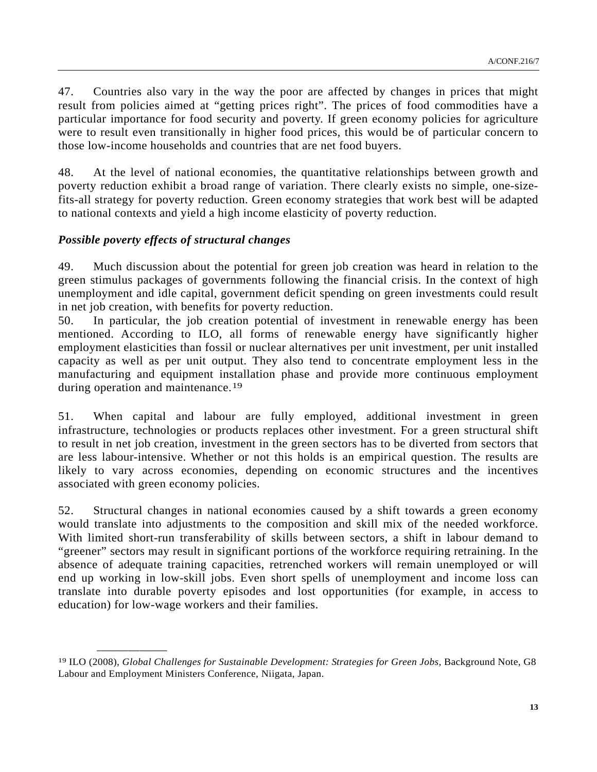47. Countries also vary in the way the poor are affected by changes in prices that might result from policies aimed at "getting prices right". The prices of food commodities have a particular importance for food security and poverty. If green economy policies for agriculture were to result even transitionally in higher food prices, this would be of particular concern to those low-income households and countries that are net food buyers.

48. At the level of national economies, the quantitative relationships between growth and poverty reduction exhibit a broad range of variation. There clearly exists no simple, one-sizefits-all strategy for poverty reduction. Green economy strategies that work best will be adapted to national contexts and yield a high income elasticity of poverty reduction.

### *Possible poverty effects of structural changes*

**\_\_\_\_\_\_\_\_\_\_\_\_\_\_\_\_\_\_** 

49. Much discussion about the potential for green job creation was heard in relation to the green stimulus packages of governments following the financial crisis. In the context of high unemployment and idle capital, government deficit spending on green investments could result in net job creation, with benefits for poverty reduction.

50. In particular, the job creation potential of investment in renewable energy has been mentioned. According to ILO, all forms of renewable energy have significantly higher employment elasticities than fossil or nuclear alternatives per unit investment, per unit installed capacity as well as per unit output. They also tend to concentrate employment less in the manufacturing and equipment installation phase and provide more continuous employment during operation and maintenance.<sup>[19](#page-12-0)</sup>

51. When capital and labour are fully employed, additional investment in green infrastructure, technologies or products replaces other investment. For a green structural shift to result in net job creation, investment in the green sectors has to be diverted from sectors that are less labour-intensive. Whether or not this holds is an empirical question. The results are likely to vary across economies, depending on economic structures and the incentives associated with green economy policies.

52. Structural changes in national economies caused by a shift towards a green economy would translate into adjustments to the composition and skill mix of the needed workforce. With limited short-run transferability of skills between sectors, a shift in labour demand to "greener" sectors may result in significant portions of the workforce requiring retraining. In the absence of adequate training capacities, retrenched workers will remain unemployed or will end up working in low-skill jobs. Even short spells of unemployment and income loss can translate into durable poverty episodes and lost opportunities (for example, in access to education) for low-wage workers and their families.

<span id="page-12-0"></span><sup>19</sup> ILO (2008), *Global Challenges for Sustainable Development: Strategies for Green Jobs,* Background Note, G8 Labour and Employment Ministers Conference, Niigata, Japan.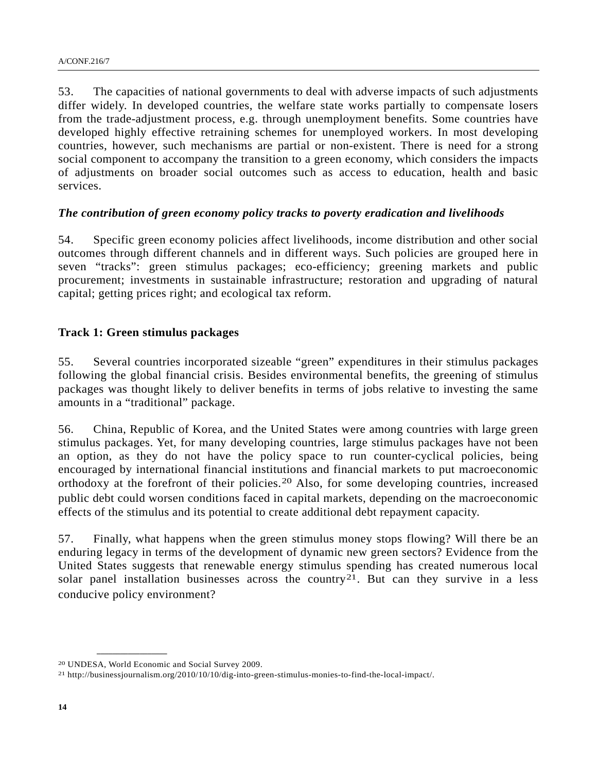53. The capacities of national governments to deal with adverse impacts of such adjustments differ widely. In developed countries, the welfare state works partially to compensate losers from the trade-adjustment process, e.g. through unemployment benefits. Some countries have developed highly effective retraining schemes for unemployed workers. In most developing countries, however, such mechanisms are partial or non-existent. There is need for a strong social component to accompany the transition to a green economy, which considers the impacts of adjustments on broader social outcomes such as access to education, health and basic services.

### *The contribution of green economy policy tracks to poverty eradication and livelihoods*

54. Specific green economy policies affect livelihoods, income distribution and other social outcomes through different channels and in different ways. Such policies are grouped here in seven "tracks": green stimulus packages; eco-efficiency; greening markets and public procurement; investments in sustainable infrastructure; restoration and upgrading of natural capital; getting prices right; and ecological tax reform.

### **Track 1: Green stimulus packages**

55. Several countries incorporated sizeable "green" expenditures in their stimulus packages following the global financial crisis. Besides environmental benefits, the greening of stimulus packages was thought likely to deliver benefits in terms of jobs relative to investing the same amounts in a "traditional" package.

56. China, Republic of Korea, and the United States were among countries with large green stimulus packages. Yet, for many developing countries, large stimulus packages have not been an option, as they do not have the policy space to run counter-cyclical policies, being encouraged by international financial institutions and financial markets to put macroeconomic orthodoxy at the forefront of their policies.[20](#page-13-0) Also, for some developing countries, increased public debt could worsen conditions faced in capital markets, depending on the macroeconomic effects of the stimulus and its potential to create additional debt repayment capacity.

57. Finally, what happens when the green stimulus money stops flowing? Will there be an enduring legacy in terms of the development of dynamic new green sectors? Evidence from the United States suggests that renewable energy stimulus spending has created numerous local solar panel installation businesses across the country<sup>[21](#page-13-1)</sup>. But can they survive in a less conducive policy environment?

<span id="page-13-0"></span><sup>20</sup> UNDESA, World Economic and Social Survey 2009.

<span id="page-13-1"></span><sup>21</sup> http://businessjournalism.org/2010/10/10/dig-into-green-stimulus-monies-to-find-the-local-impact/.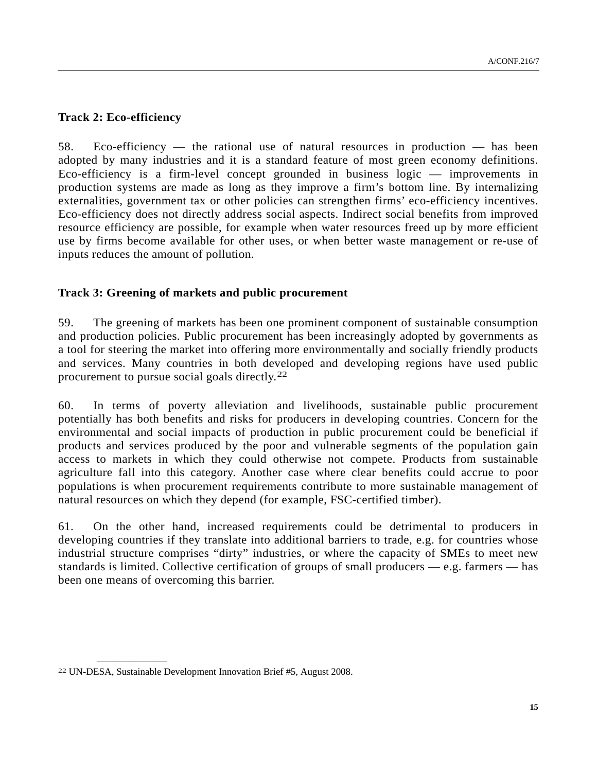### **Track 2: Eco-efficiency**

58. Eco-efficiency — the rational use of natural resources in production — has been adopted by many industries and it is a standard feature of most green economy definitions. Eco-efficiency is a firm-level concept grounded in business logic — improvements in production systems are made as long as they improve a firm's bottom line. By internalizing externalities, government tax or other policies can strengthen firms' eco-efficiency incentives. Eco-efficiency does not directly address social aspects. Indirect social benefits from improved resource efficiency are possible, for example when water resources freed up by more efficient use by firms become available for other uses, or when better waste management or re-use of inputs reduces the amount of pollution.

### **Track 3: Greening of markets and public procurement**

59. The greening of markets has been one prominent component of sustainable consumption and production policies. Public procurement has been increasingly adopted by governments as a tool for steering the market into offering more environmentally and socially friendly products and services. Many countries in both developed and developing regions have used public procurement to pursue social goals directly.[22](#page-14-0)

60. In terms of poverty alleviation and livelihoods, sustainable public procurement potentially has both benefits and risks for producers in developing countries. Concern for the environmental and social impacts of production in public procurement could be beneficial if products and services produced by the poor and vulnerable segments of the population gain access to markets in which they could otherwise not compete. Products from sustainable agriculture fall into this category. Another case where clear benefits could accrue to poor populations is when procurement requirements contribute to more sustainable management of natural resources on which they depend (for example, FSC-certified timber).

61. On the other hand, increased requirements could be detrimental to producers in developing countries if they translate into additional barriers to trade, e.g. for countries whose industrial structure comprises "dirty" industries, or where the capacity of SMEs to meet new standards is limited. Collective certification of groups of small producers — e.g. farmers — has been one means of overcoming this barrier.

<span id="page-14-0"></span><sup>22</sup> UN-DESA, Sustainable Development Innovation Brief #5, August 2008.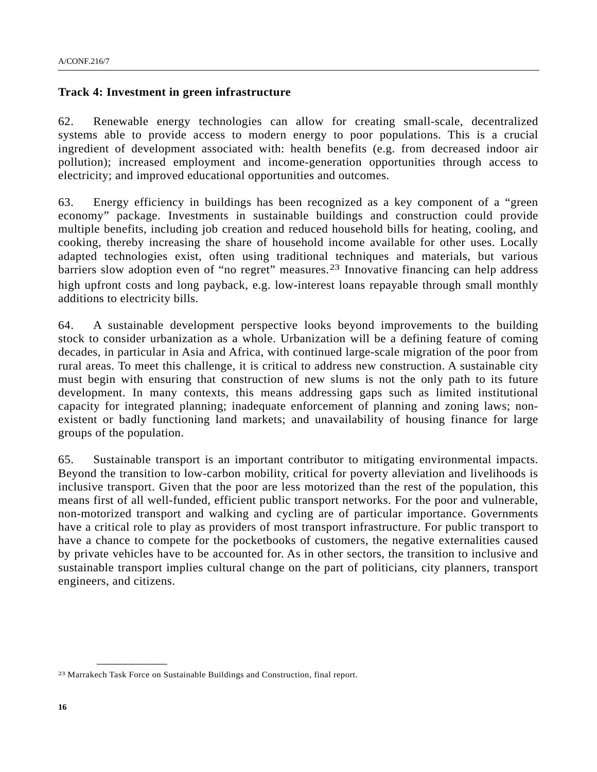#### **Track 4: Investment in green infrastructure**

62. Renewable energy technologies can allow for creating small-scale, decentralized systems able to provide access to modern energy to poor populations. This is a crucial ingredient of development associated with: health benefits (e.g. from decreased indoor air pollution); increased employment and income-generation opportunities through access to electricity; and improved educational opportunities and outcomes.

63. Energy efficiency in buildings has been recognized as a key component of a "green economy" package. Investments in sustainable buildings and construction could provide multiple benefits, including job creation and reduced household bills for heating, cooling, and cooking, thereby increasing the share of household income available for other uses. Locally adapted technologies exist, often using traditional techniques and materials, but various barriers slow adoption even of "no regret" measures.<sup>[23](#page-15-0)</sup> Innovative financing can help address high upfront costs and long payback, e.g. low-interest loans repayable through small monthly additions to electricity bills.

64. A sustainable development perspective looks beyond improvements to the building stock to consider urbanization as a whole. Urbanization will be a defining feature of coming decades, in particular in Asia and Africa, with continued large-scale migration of the poor from rural areas. To meet this challenge, it is critical to address new construction. A sustainable city must begin with ensuring that construction of new slums is not the only path to its future development. In many contexts, this means addressing gaps such as limited institutional capacity for integrated planning; inadequate enforcement of planning and zoning laws; nonexistent or badly functioning land markets; and unavailability of housing finance for large groups of the population.

65. Sustainable transport is an important contributor to mitigating environmental impacts. Beyond the transition to low-carbon mobility, critical for poverty alleviation and livelihoods is inclusive transport. Given that the poor are less motorized than the rest of the population, this means first of all well-funded, efficient public transport networks. For the poor and vulnerable, non-motorized transport and walking and cycling are of particular importance. Governments have a critical role to play as providers of most transport infrastructure. For public transport to have a chance to compete for the pocketbooks of customers, the negative externalities caused by private vehicles have to be accounted for. As in other sectors, the transition to inclusive and sustainable transport implies cultural change on the part of politicians, city planners, transport engineers, and citizens.

<span id="page-15-0"></span><sup>23</sup> Marrakech Task Force on Sustainable Buildings and Construction, final report.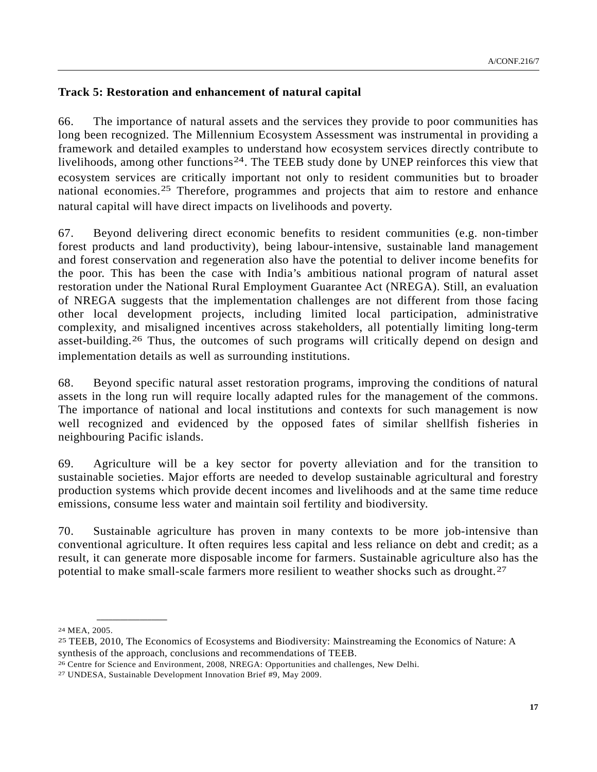### **Track 5: Restoration and enhancement of natural capital**

66. The importance of natural assets and the services they provide to poor communities has long been recognized. The Millennium Ecosystem Assessment was instrumental in providing a framework and detailed examples to understand how ecosystem services directly contribute to livelihoods, among other functions<sup>[24](#page-16-0)</sup>. The TEEB study done by UNEP reinforces this view that ecosystem services are critically important not only to resident communities but to broader national economies.<sup>[25](#page-16-1)</sup> Therefore, programmes and projects that aim to restore and enhance natural capital will have direct impacts on livelihoods and poverty.

67. Beyond delivering direct economic benefits to resident communities (e.g. non-timber forest products and land productivity), being labour-intensive, sustainable land management and forest conservation and regeneration also have the potential to deliver income benefits for the poor. This has been the case with India's ambitious national program of natural asset restoration under the National Rural Employment Guarantee Act (NREGA). Still, an evaluation of NREGA suggests that the implementation challenges are not different from those facing other local development projects, including limited local participation, administrative complexity, and misaligned incentives across stakeholders, all potentially limiting long-term asset-building.[26](#page-16-2) Thus, the outcomes of such programs will critically depend on design and implementation details as well as surrounding institutions.

68. Beyond specific natural asset restoration programs, improving the conditions of natural assets in the long run will require locally adapted rules for the management of the commons. The importance of national and local institutions and contexts for such management is now well recognized and evidenced by the opposed fates of similar shellfish fisheries in neighbouring Pacific islands.

69. Agriculture will be a key sector for poverty alleviation and for the transition to sustainable societies. Major efforts are needed to develop sustainable agricultural and forestry production systems which provide decent incomes and livelihoods and at the same time reduce emissions, consume less water and maintain soil fertility and biodiversity.

70. Sustainable agriculture has proven in many contexts to be more job-intensive than conventional agriculture. It often requires less capital and less reliance on debt and credit; as a result, it can generate more disposable income for farmers. Sustainable agriculture also has the potential to make small-scale farmers more resilient to weather shocks such as drought.<sup>[27](#page-16-3)</sup>

<span id="page-16-0"></span><sup>24</sup> MEA, 2005.

<span id="page-16-1"></span><sup>25</sup> TEEB, 2010, The Economics of Ecosystems and Biodiversity: Mainstreaming the Economics of Nature: A synthesis of the approach, conclusions and recommendations of TEEB.

<span id="page-16-3"></span><span id="page-16-2"></span><sup>26</sup> Centre for Science and Environment, 2008, NREGA: Opportunities and challenges, New Delhi. 27 UNDESA, Sustainable Development Innovation Brief #9, May 2009.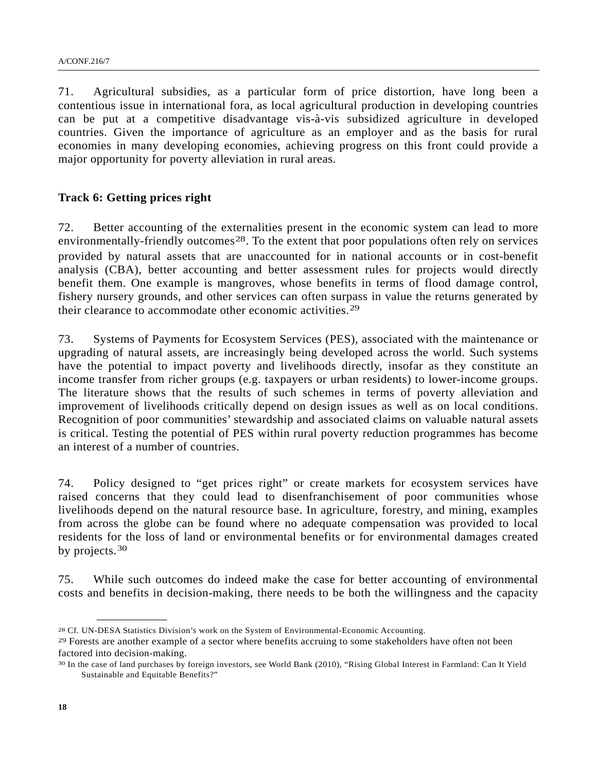71. Agricultural subsidies, as a particular form of price distortion, have long been a contentious issue in international fora, as local agricultural production in developing countries can be put at a competitive disadvantage vis-à-vis subsidized agriculture in developed countries. Given the importance of agriculture as an employer and as the basis for rural economies in many developing economies, achieving progress on this front could provide a major opportunity for poverty alleviation in rural areas.

#### **Track 6: Getting prices right**

**\_\_\_\_\_\_\_\_\_\_\_\_\_\_\_\_\_\_** 

72. Better accounting of the externalities present in the economic system can lead to more environmentally-friendly outcomes<sup>[28](#page-17-0)</sup>. To the extent that poor populations often rely on services provided by natural assets that are unaccounted for in national accounts or in cost-benefit analysis (CBA), better accounting and better assessment rules for projects would directly benefit them. One example is mangroves, whose benefits in terms of flood damage control, fishery nursery grounds, and other services can often surpass in value the returns generated by their clearance to accommodate other economic activities.[29](#page-17-1)

73. Systems of Payments for Ecosystem Services (PES), associated with the maintenance or upgrading of natural assets, are increasingly being developed across the world. Such systems have the potential to impact poverty and livelihoods directly, insofar as they constitute an income transfer from richer groups (e.g. taxpayers or urban residents) to lower-income groups. The literature shows that the results of such schemes in terms of poverty alleviation and improvement of livelihoods critically depend on design issues as well as on local conditions. Recognition of poor communities' stewardship and associated claims on valuable natural assets is critical. Testing the potential of PES within rural poverty reduction programmes has become an interest of a number of countries.

74. Policy designed to "get prices right" or create markets for ecosystem services have raised concerns that they could lead to disenfranchisement of poor communities whose livelihoods depend on the natural resource base. In agriculture, forestry, and mining, examples from across the globe can be found where no adequate compensation was provided to local residents for the loss of land or environmental benefits or for environmental damages created by projects.<sup>[30](#page-17-2)</sup>

75. While such outcomes do indeed make the case for better accounting of environmental costs and benefits in decision-making, there needs to be both the willingness and the capacity

<span id="page-17-0"></span><sup>28</sup> Cf. UN-DESA Statistics Division's work on the System of Environmental-Economic Accounting.

<span id="page-17-1"></span><sup>&</sup>lt;sup>29</sup> Forests are another example of a sector where benefits accruing to some stakeholders have often not been factored into decision-making.

<span id="page-17-2"></span><sup>30</sup> In the case of land purchases by foreign investors, see World Bank (2010), "Rising Global Interest in Farmland: Can It Yield Sustainable and Equitable Benefits?"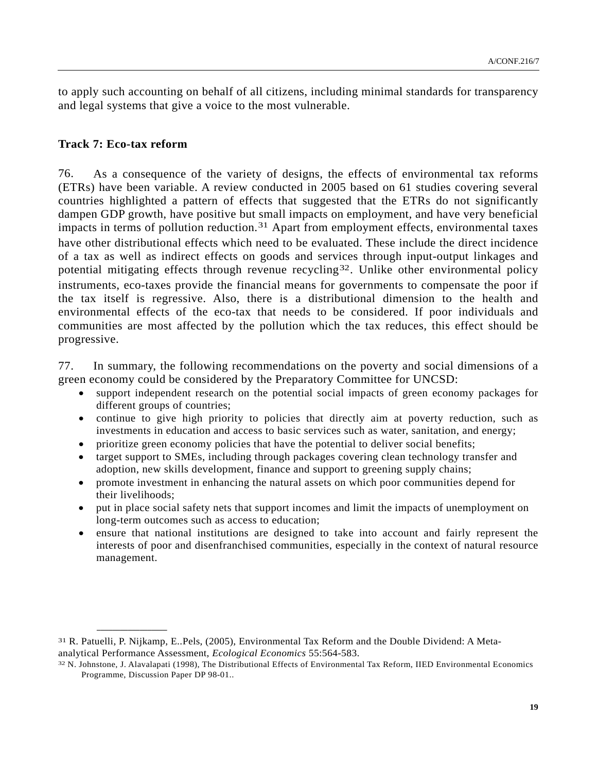to apply such accounting on behalf of all citizens, including minimal standards for transparency and legal systems that give a voice to the most vulnerable.

#### **Track 7: Eco-tax reform**

**\_\_\_\_\_\_\_\_\_\_\_\_\_\_\_\_\_\_** 

76. As a consequence of the variety of designs, the effects of environmental tax reforms (ETRs) have been variable. A review conducted in 2005 based on 61 studies covering several countries highlighted a pattern of effects that suggested that the ETRs do not significantly dampen GDP growth, have positive but small impacts on employment, and have very beneficial impacts in terms of pollution reduction.<sup>[31](#page-18-0)</sup> Apart from employment effects, environmental taxes have other distributional effects which need to be evaluated. These include the direct incidence of a tax as well as indirect effects on goods and services through input-output linkages and potential mitigating effects through revenue recycling<sup>[32](#page-18-1)</sup>. Unlike other environmental policy instruments, eco-taxes provide the financial means for governments to compensate the poor if the tax itself is regressive. Also, there is a distributional dimension to the health and environmental effects of the eco-tax that needs to be considered. If poor individuals and communities are most affected by the pollution which the tax reduces, this effect should be progressive.

77. In summary, the following recommendations on the poverty and social dimensions of a green economy could be considered by the Preparatory Committee for UNCSD:

- support independent research on the potential social impacts of green economy packages for different groups of countries;
- continue to give high priority to policies that directly aim at poverty reduction, such as investments in education and access to basic services such as water, sanitation, and energy;
- prioritize green economy policies that have the potential to deliver social benefits;
- target support to SMEs, including through packages covering clean technology transfer and adoption, new skills development, finance and support to greening supply chains;
- promote investment in enhancing the natural assets on which poor communities depend for their livelihoods;
- put in place social safety nets that support incomes and limit the impacts of unemployment on long-term outcomes such as access to education;
- ensure that national institutions are designed to take into account and fairly represent the interests of poor and disenfranchised communities, especially in the context of natural resource management.

<span id="page-18-0"></span><sup>31</sup> R. Patuelli, P. Nijkamp, E..Pels, (2005), Environmental Tax Reform and the Double Dividend: A Metaanalytical Performance Assessment, *Ecological Economics* 55:564-583.<br><sup>32</sup> N. Johnstone, J. Alavalapati (1998), The Distributional Effects of Environmental Tax Reform, IIED Environmental Economics

<span id="page-18-1"></span>Programme, Discussion Paper DP 98-01..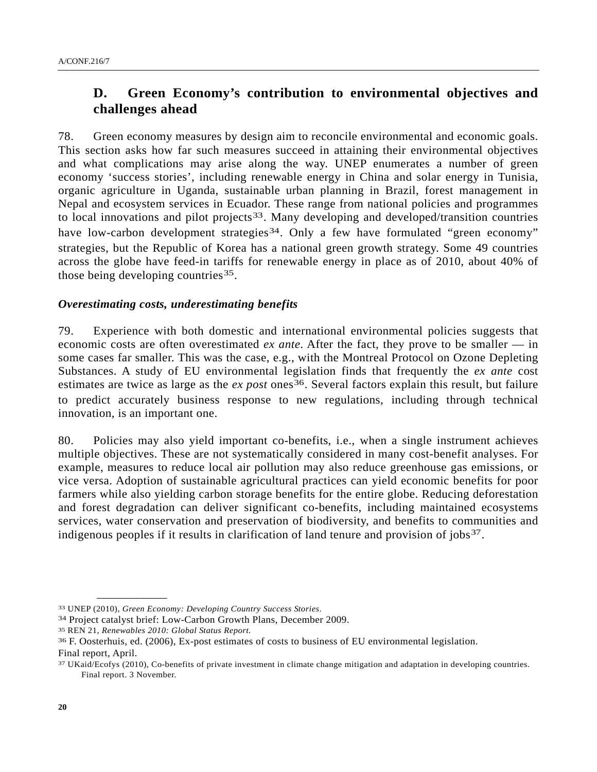# **D. Green Economy's contribution to environmental objectives and challenges ahead**

78. Green economy measures by design aim to reconcile environmental and economic goals. This section asks how far such measures succeed in attaining their environmental objectives and what complications may arise along the way. UNEP enumerates a number of green economy 'success stories', including renewable energy in China and solar energy in Tunisia, organic agriculture in Uganda, sustainable urban planning in Brazil, forest management in Nepal and ecosystem services in Ecuador. These range from national policies and programmes to local innovations and pilot projects<sup>[33](#page-19-0)</sup>. Many developing and developed/transition countries have low-carbon development strategies<sup>[34](#page-19-1)</sup>. Only a few have formulated "green economy" strategies, but the Republic of Korea has a national green growth strategy. Some 49 countries across the globe have feed-in tariffs for renewable energy in place as of 2010, about 40% of those being developing countries<sup>[35](#page-19-2)</sup>.

### *Overestimating costs, underestimating benefits*

79. Experience with both domestic and international environmental policies suggests that economic costs are often overestimated *ex ante*. After the fact, they prove to be smaller — in some cases far smaller. This was the case, e.g., with the Montreal Protocol on Ozone Depleting Substances. A study of EU environmental legislation finds that frequently the *ex ante* cost estimates are twice as large as the *ex post* ones<sup>[36](#page-19-3)</sup>. Several factors explain this result, but failure to predict accurately business response to new regulations, including through technical innovation, is an important one.

80. Policies may also yield important co-benefits, i.e., when a single instrument achieves multiple objectives. These are not systematically considered in many cost-benefit analyses. For example, measures to reduce local air pollution may also reduce greenhouse gas emissions, or vice versa. Adoption of sustainable agricultural practices can yield economic benefits for poor farmers while also yielding carbon storage benefits for the entire globe. Reducing deforestation and forest degradation can deliver significant co-benefits, including maintained ecosystems services, water conservation and preservation of biodiversity, and benefits to communities and indigenous peoples if it results in clarification of land tenure and provision of jobs<sup>[37](#page-19-4)</sup>.

<span id="page-19-0"></span><sup>33</sup> UNEP (2010), *Green Economy: Developing Country Success Stories*.

<span id="page-19-1"></span><sup>34</sup> Project catalyst brief: Low-Carbon Growth Plans, December 2009.

<span id="page-19-2"></span><sup>35</sup> REN 21, *Renewables 2010: Global Status Report.* 

<span id="page-19-3"></span><sup>36</sup> F. Oosterhuis, ed. (2006), Ex-post estimates of costs to business of EU environmental legislation. Final report, April.

<span id="page-19-4"></span><sup>37</sup> UKaid/Ecofys (2010), Co-benefits of private investment in climate change mitigation and adaptation in developing countries. Final report. 3 November.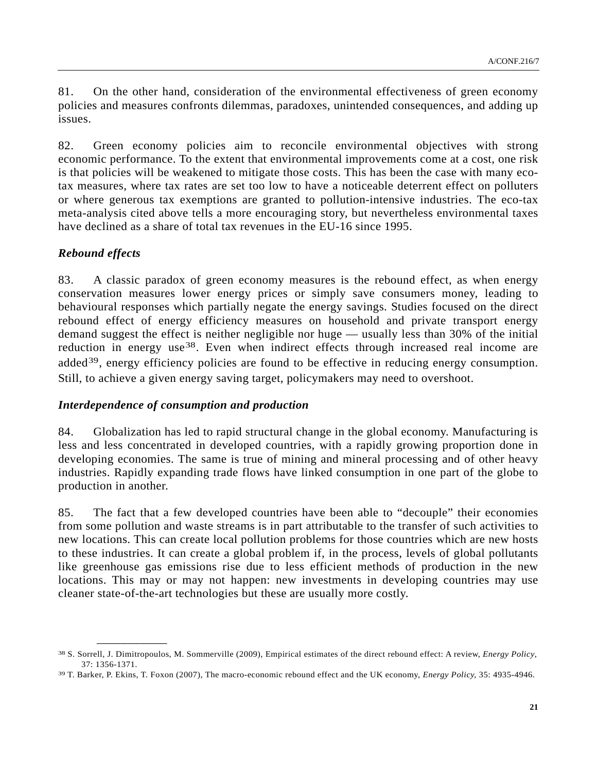81. On the other hand, consideration of the environmental effectiveness of green economy policies and measures confronts dilemmas, paradoxes, unintended consequences, and adding up issues.

82. Green economy policies aim to reconcile environmental objectives with strong economic performance. To the extent that environmental improvements come at a cost, one risk is that policies will be weakened to mitigate those costs. This has been the case with many ecotax measures, where tax rates are set too low to have a noticeable deterrent effect on polluters or where generous tax exemptions are granted to pollution-intensive industries. The eco-tax meta-analysis cited above tells a more encouraging story, but nevertheless environmental taxes have declined as a share of total tax revenues in the EU-16 since 1995.

## *Rebound effects*

83. A classic paradox of green economy measures is the rebound effect, as when energy conservation measures lower energy prices or simply save consumers money, leading to behavioural responses which partially negate the energy savings. Studies focused on the direct rebound effect of energy efficiency measures on household and private transport energy demand suggest the effect is neither negligible nor huge — usually less than 30% of the initial reduction in energy use<sup>[38](#page-20-0)</sup>. Even when indirect effects through increased real income are added<sup>[39](#page-20-1)</sup>, energy efficiency policies are found to be effective in reducing energy consumption. Still, to achieve a given energy saving target, policymakers may need to overshoot.

#### *Interdependence of consumption and production*

**\_\_\_\_\_\_\_\_\_\_\_\_\_\_\_\_\_\_** 

84. Globalization has led to rapid structural change in the global economy. Manufacturing is less and less concentrated in developed countries, with a rapidly growing proportion done in developing economies. The same is true of mining and mineral processing and of other heavy industries. Rapidly expanding trade flows have linked consumption in one part of the globe to production in another.

85. The fact that a few developed countries have been able to "decouple" their economies from some pollution and waste streams is in part attributable to the transfer of such activities to new locations. This can create local pollution problems for those countries which are new hosts to these industries. It can create a global problem if, in the process, levels of global pollutants like greenhouse gas emissions rise due to less efficient methods of production in the new locations. This may or may not happen: new investments in developing countries may use cleaner state-of-the-art technologies but these are usually more costly.

<span id="page-20-0"></span><sup>38</sup> S. Sorrell, J. Dimitropoulos, M. Sommerville (2009), Empirical estimates of the direct rebound effect: A review, *Energy Policy*, 37: 1356-1371.

<span id="page-20-1"></span><sup>39</sup> T. Barker, P. Ekins, T. Foxon (2007), The macro-economic rebound effect and the UK economy, *Energy Policy,* 35: 4935-4946.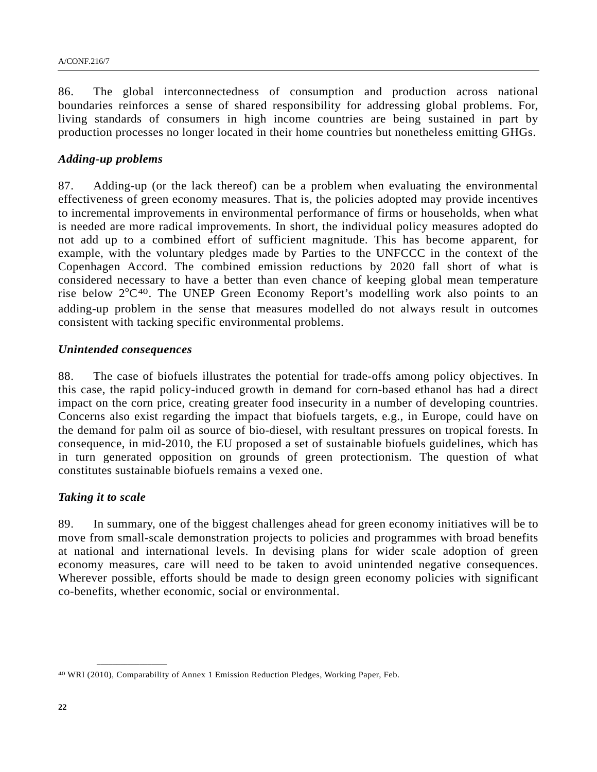86. The global interconnectedness of consumption and production across national boundaries reinforces a sense of shared responsibility for addressing global problems. For, living standards of consumers in high income countries are being sustained in part by production processes no longer located in their home countries but nonetheless emitting GHGs.

#### *Adding-up problems*

87. Adding-up (or the lack thereof) can be a problem when evaluating the environmental effectiveness of green economy measures. That is, the policies adopted may provide incentives to incremental improvements in environmental performance of firms or households, when what is needed are more radical improvements. In short, the individual policy measures adopted do not add up to a combined effort of sufficient magnitude. This has become apparent, for example, with the voluntary pledges made by Parties to the UNFCCC in the context of the Copenhagen Accord. The combined emission reductions by 2020 fall short of what is considered necessary to have a better than even chance of keeping global mean temperature rise below  $2^{\circ}C^{40}$  $2^{\circ}C^{40}$  $2^{\circ}C^{40}$ . The UNEP Green Economy Report's modelling work also points to an adding-up problem in the sense that measures modelled do not always result in outcomes consistent with tacking specific environmental problems.

#### *Unintended consequences*

88. The case of biofuels illustrates the potential for trade-offs among policy objectives. In this case, the rapid policy-induced growth in demand for corn-based ethanol has had a direct impact on the corn price, creating greater food insecurity in a number of developing countries. Concerns also exist regarding the impact that biofuels targets, e.g., in Europe, could have on the demand for palm oil as source of bio-diesel, with resultant pressures on tropical forests. In consequence, in mid-2010, the EU proposed a set of sustainable biofuels guidelines, which has in turn generated opposition on grounds of green protectionism. The question of what constitutes sustainable biofuels remains a vexed one.

#### *Taking it to scale*

**\_\_\_\_\_\_\_\_\_\_\_\_\_\_\_\_\_\_** 

89. In summary, one of the biggest challenges ahead for green economy initiatives will be to move from small-scale demonstration projects to policies and programmes with broad benefits at national and international levels. In devising plans for wider scale adoption of green economy measures, care will need to be taken to avoid unintended negative consequences. Wherever possible, efforts should be made to design green economy policies with significant co-benefits, whether economic, social or environmental.

<span id="page-21-0"></span><sup>40</sup> WRI (2010), Comparability of Annex 1 Emission Reduction Pledges, Working Paper, Feb.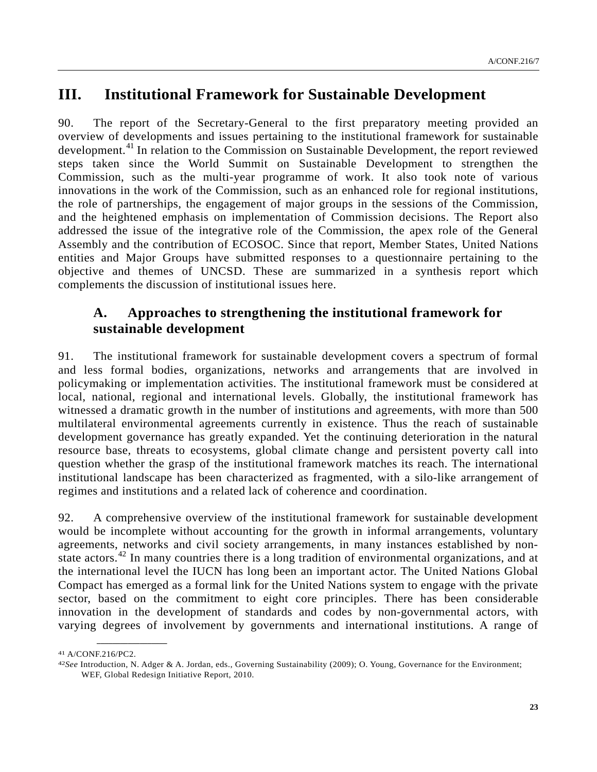# **III. Institutional Framework for Sustainable Development**

90. The report of the Secretary-General to the first preparatory meeting provided an overview of developments and issues pertaining to the institutional framework for sustainable development.<sup>[41](#page-22-0)</sup> In relation to the Commission on Sustainable Development, the report reviewed steps taken since the World Summit on Sustainable Development to strengthen the Commission, such as the multi-year programme of work. It also took note of various innovations in the work of the Commission, such as an enhanced role for regional institutions, the role of partnerships, the engagement of major groups in the sessions of the Commission, and the heightened emphasis on implementation of Commission decisions. The Report also addressed the issue of the integrative role of the Commission, the apex role of the General Assembly and the contribution of ECOSOC. Since that report, Member States, United Nations entities and Major Groups have submitted responses to a questionnaire pertaining to the objective and themes of UNCSD. These are summarized in a synthesis report which complements the discussion of institutional issues here.

# **A. Approaches to strengthening the institutional framework for sustainable development**

91. The institutional framework for sustainable development covers a spectrum of formal and less formal bodies, organizations, networks and arrangements that are involved in policymaking or implementation activities. The institutional framework must be considered at local, national, regional and international levels. Globally, the institutional framework has witnessed a dramatic growth in the number of institutions and agreements, with more than 500 multilateral environmental agreements currently in existence. Thus the reach of sustainable development governance has greatly expanded. Yet the continuing deterioration in the natural resource base, threats to ecosystems, global climate change and persistent poverty call into question whether the grasp of the institutional framework matches its reach. The international institutional landscape has been characterized as fragmented, with a silo-like arrangement of regimes and institutions and a related lack of coherence and coordination.

92. A comprehensive overview of the institutional framework for sustainable development would be incomplete without accounting for the growth in informal arrangements, voluntary agreements, networks and civil society arrangements, in many instances established by non-state actors.<sup>[42](#page-22-1)</sup> In many countries there is a long tradition of environmental organizations, and at the international level the IUCN has long been an important actor. The United Nations Global Compact has emerged as a formal link for the United Nations system to engage with the private sector, based on the commitment to eight core principles. There has been considerable innovation in the development of standards and codes by non-governmental actors, with varying degrees of involvement by governments and international institutions. A range of

<span id="page-22-0"></span><sup>41</sup> A/CONF.216/PC2.

<span id="page-22-1"></span><sup>42</sup>*See* Introduction, N. Adger & A. Jordan, eds., Governing Sustainability (2009); O. Young, Governance for the Environment; WEF, Global Redesign Initiative Report, 2010.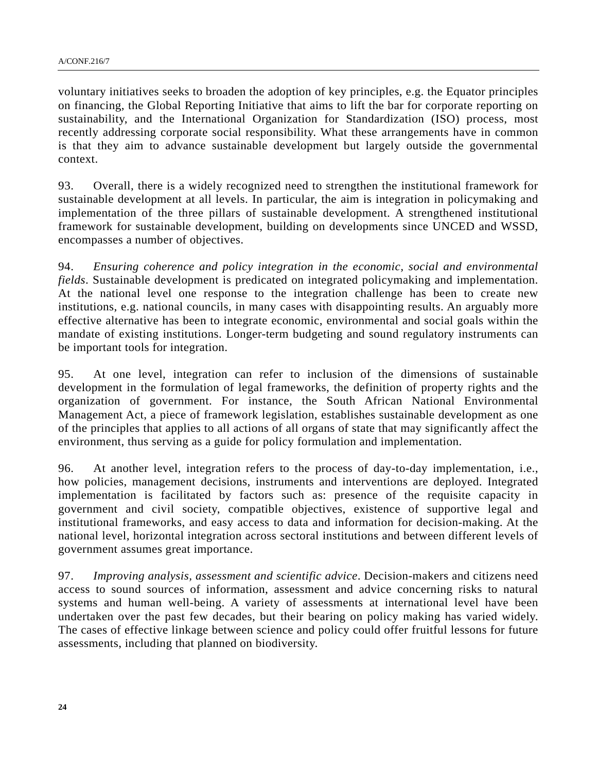voluntary initiatives seeks to broaden the adoption of key principles, e.g. the Equator principles on financing, the Global Reporting Initiative that aims to lift the bar for corporate reporting on sustainability, and the International Organization for Standardization (ISO) process, most recently addressing corporate social responsibility. What these arrangements have in common is that they aim to advance sustainable development but largely outside the governmental context.

93. Overall, there is a widely recognized need to strengthen the institutional framework for sustainable development at all levels. In particular, the aim is integration in policymaking and implementation of the three pillars of sustainable development. A strengthened institutional framework for sustainable development, building on developments since UNCED and WSSD, encompasses a number of objectives.

94. *Ensuring coherence and policy integration in the economic, social and environmental fields*. Sustainable development is predicated on integrated policymaking and implementation. At the national level one response to the integration challenge has been to create new institutions, e.g. national councils, in many cases with disappointing results. An arguably more effective alternative has been to integrate economic, environmental and social goals within the mandate of existing institutions. Longer-term budgeting and sound regulatory instruments can be important tools for integration.

95. At one level, integration can refer to inclusion of the dimensions of sustainable development in the formulation of legal frameworks, the definition of property rights and the organization of government. For instance, the South African National Environmental Management Act, a piece of framework legislation, establishes sustainable development as one of the principles that applies to all actions of all organs of state that may significantly affect the environment, thus serving as a guide for policy formulation and implementation.

96. At another level, integration refers to the process of day-to-day implementation, i.e., how policies, management decisions, instruments and interventions are deployed. Integrated implementation is facilitated by factors such as: presence of the requisite capacity in government and civil society, compatible objectives, existence of supportive legal and institutional frameworks, and easy access to data and information for decision-making. At the national level, horizontal integration across sectoral institutions and between different levels of government assumes great importance.

97. *Improving analysis, assessment and scientific advice*. Decision-makers and citizens need access to sound sources of information, assessment and advice concerning risks to natural systems and human well-being. A variety of assessments at international level have been undertaken over the past few decades, but their bearing on policy making has varied widely. The cases of effective linkage between science and policy could offer fruitful lessons for future assessments, including that planned on biodiversity.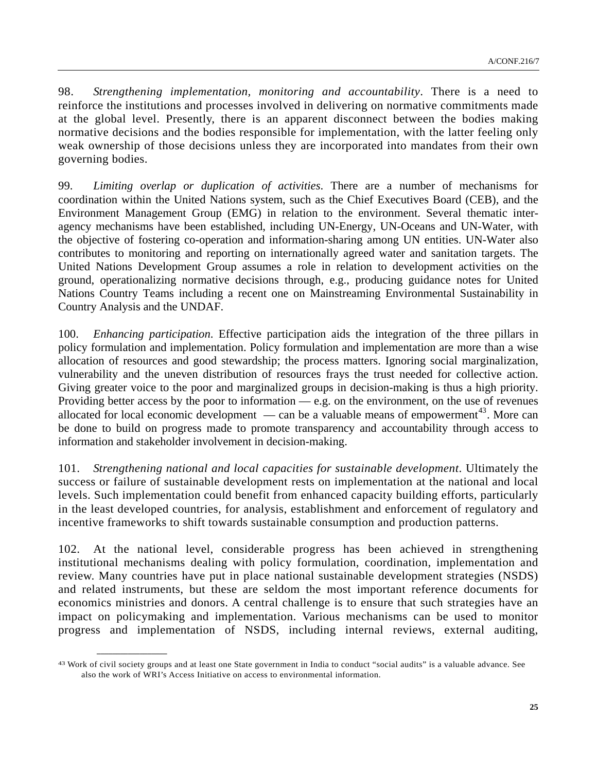98. *Strengthening implementation, monitoring and accountability*. There is a need to reinforce the institutions and processes involved in delivering on normative commitments made at the global level. Presently, there is an apparent disconnect between the bodies making normative decisions and the bodies responsible for implementation, with the latter feeling only weak ownership of those decisions unless they are incorporated into mandates from their own governing bodies.

99. *Limiting overlap or duplication of activities*. There are a number of mechanisms for coordination within the United Nations system, such as the Chief Executives Board (CEB), and the Environment Management Group (EMG) in relation to the environment. Several thematic interagency mechanisms have been established, including UN-Energy, UN-Oceans and UN-Water, with the objective of fostering co-operation and information-sharing among UN entities. UN-Water also contributes to monitoring and reporting on internationally agreed water and sanitation targets. The United Nations Development Group assumes a role in relation to development activities on the ground, operationalizing normative decisions through, e.g., producing guidance notes for United Nations Country Teams including a recent one on Mainstreaming Environmental Sustainability in Country Analysis and the UNDAF.

100. *Enhancing participation*. Effective participation aids the integration of the three pillars in policy formulation and implementation. Policy formulation and implementation are more than a wise allocation of resources and good stewardship; the process matters. Ignoring social marginalization, vulnerability and the uneven distribution of resources frays the trust needed for collective action. Giving greater voice to the poor and marginalized groups in decision-making is thus a high priority. Providing better access by the poor to information — e.g. on the environment, on the use of revenues allocated for local economic development — can be a valuable means of empowerment<sup>[43](#page-24-0)</sup>. More can be done to build on progress made to promote transparency and accountability through access to information and stakeholder involvement in decision-making.

101. *Strengthening national and local capacities for sustainable development*. Ultimately the success or failure of sustainable development rests on implementation at the national and local levels. Such implementation could benefit from enhanced capacity building efforts, particularly in the least developed countries, for analysis, establishment and enforcement of regulatory and incentive frameworks to shift towards sustainable consumption and production patterns.

102. At the national level, considerable progress has been achieved in strengthening institutional mechanisms dealing with policy formulation, coordination, implementation and review. Many countries have put in place national sustainable development strategies (NSDS) and related instruments, but these are seldom the most important reference documents for economics ministries and donors. A central challenge is to ensure that such strategies have an impact on policymaking and implementation. Various mechanisms can be used to monitor progress and implementation of NSDS, including internal reviews, external auditing,

<span id="page-24-0"></span><sup>43</sup> Work of civil society groups and at least one State government in India to conduct "social audits" is a valuable advance. See also the work of WRI's Access Initiative on access to environmental information.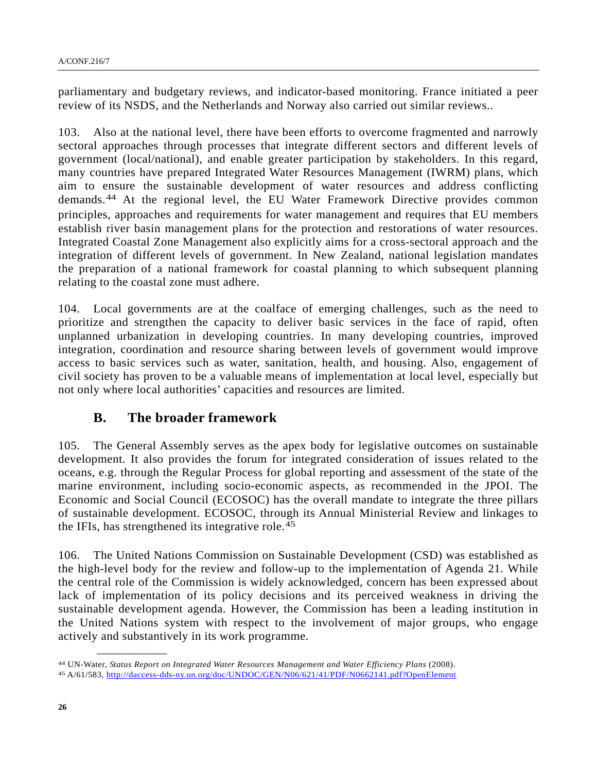parliamentary and budgetary reviews, and indicator-based monitoring. France initiated a peer review of its NSDS, and the Netherlands and Norway also carried out similar reviews..

103. Also at the national level, there have been efforts to overcome fragmented and narrowly sectoral approaches through processes that integrate different sectors and different levels of government (local/national), and enable greater participation by stakeholders. In this regard, many countries have prepared Integrated Water Resources Management (IWRM) plans, which aim to ensure the sustainable development of water resources and address conflicting demands.[44](#page-25-0) At the regional level, the EU Water Framework Directive provides common principles, approaches and requirements for water management and requires that EU members establish river basin management plans for the protection and restorations of water resources. Integrated Coastal Zone Management also explicitly aims for a cross-sectoral approach and the integration of different levels of government. In New Zealand, national legislation mandates the preparation of a national framework for coastal planning to which subsequent planning relating to the coastal zone must adhere.

104. Local governments are at the coalface of emerging challenges, such as the need to prioritize and strengthen the capacity to deliver basic services in the face of rapid, often unplanned urbanization in developing countries. In many developing countries, improved integration, coordination and resource sharing between levels of government would improve access to basic services such as water, sanitation, health, and housing. Also, engagement of civil society has proven to be a valuable means of implementation at local level, especially but not only where local authorities' capacities and resources are limited.

## **B. The broader framework**

105. The General Assembly serves as the apex body for legislative outcomes on sustainable development. It also provides the forum for integrated consideration of issues related to the oceans, e.g. through the Regular Process for global reporting and assessment of the state of the marine environment, including socio-economic aspects, as recommended in the JPOI. The Economic and Social Council (ECOSOC) has the overall mandate to integrate the three pillars of sustainable development. ECOSOC, through its Annual Ministerial Review and linkages to the IFIs, has strengthened its integrative role.[45](#page-25-1)

106. The United Nations Commission on Sustainable Development (CSD) was established as the high-level body for the review and follow-up to the implementation of Agenda 21. While the central role of the Commission is widely acknowledged, concern has been expressed about lack of implementation of its policy decisions and its perceived weakness in driving the sustainable development agenda. However, the Commission has been a leading institution in the United Nations system with respect to the involvement of major groups, who engage actively and substantively in its work programme.

<span id="page-25-0"></span><sup>44</sup> UN-Water, *Status Report on Integrated Water Resources Management and Water Efficiency Plans* [\(2008\).](http://daccess-dds-ny.un.org/doc/UNDOC/GEN/N06/621/41/PDF/N0662141.pdf?OpenElement) 45 A/61/583,<http://daccess-dds-ny.un.org/doc/UNDOC/GEN/N06/621/41/PDF/N0662141.pdf?OpenElement>

<span id="page-25-1"></span>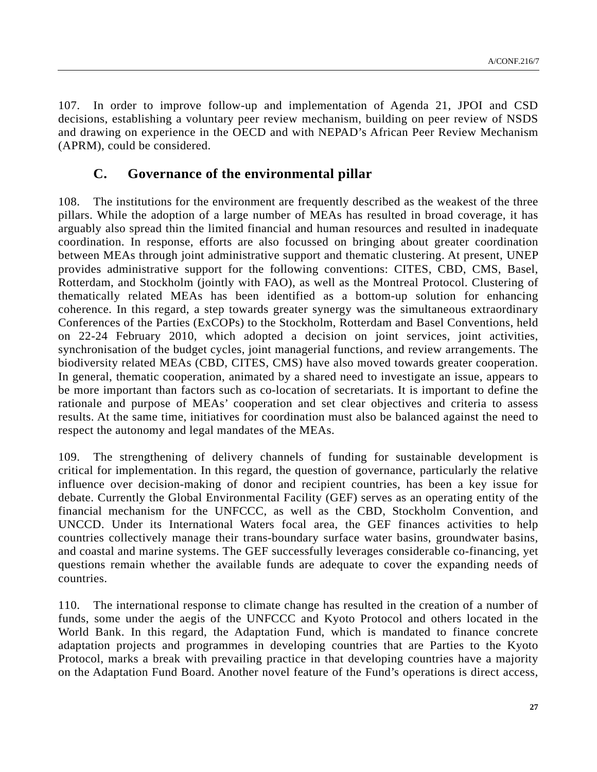107. In order to improve follow-up and implementation of Agenda 21, JPOI and CSD decisions, establishing a voluntary peer review mechanism, building on peer review of NSDS and drawing on experience in the OECD and with NEPAD's African Peer Review Mechanism (APRM), could be considered.

## **C. Governance of the environmental pillar**

108. The institutions for the environment are frequently described as the weakest of the three pillars. While the adoption of a large number of MEAs has resulted in broad coverage, it has arguably also spread thin the limited financial and human resources and resulted in inadequate coordination. In response, efforts are also focussed on bringing about greater coordination between MEAs through joint administrative support and thematic clustering. At present, UNEP provides administrative support for the following conventions: CITES, CBD, CMS, Basel, Rotterdam, and Stockholm (jointly with FAO), as well as the Montreal Protocol. Clustering of thematically related MEAs has been identified as a bottom-up solution for enhancing coherence. In this regard, a step towards greater synergy was the simultaneous extraordinary Conferences of the Parties (ExCOPs) to the Stockholm, Rotterdam and Basel Conventions, held on 22-24 February 2010, which adopted a decision on joint services, joint activities, synchronisation of the budget cycles, joint managerial functions, and review arrangements. The biodiversity related MEAs (CBD, CITES, CMS) have also moved towards greater cooperation. In general, thematic cooperation, animated by a shared need to investigate an issue, appears to be more important than factors such as co-location of secretariats. It is important to define the rationale and purpose of MEAs' cooperation and set clear objectives and criteria to assess results. At the same time, initiatives for coordination must also be balanced against the need to respect the autonomy and legal mandates of the MEAs.

109. The strengthening of delivery channels of funding for sustainable development is critical for implementation. In this regard, the question of governance, particularly the relative influence over decision-making of donor and recipient countries, has been a key issue for debate. Currently the Global Environmental Facility (GEF) serves as an operating entity of the financial mechanism for the UNFCCC, as well as the CBD, Stockholm Convention, and UNCCD. Under its International Waters focal area, the GEF finances activities to help countries collectively manage their trans-boundary surface water basins, groundwater basins, and coastal and marine systems. The GEF successfully leverages considerable co-financing, yet questions remain whether the available funds are adequate to cover the expanding needs of countries.

110. The international response to climate change has resulted in the creation of a number of funds, some under the aegis of the UNFCCC and Kyoto Protocol and others located in the World Bank. In this regard, the Adaptation Fund, which is mandated to finance concrete adaptation projects and programmes in developing countries that are Parties to the Kyoto Protocol, marks a break with prevailing practice in that developing countries have a majority on the Adaptation Fund Board. Another novel feature of the Fund's operations is direct access,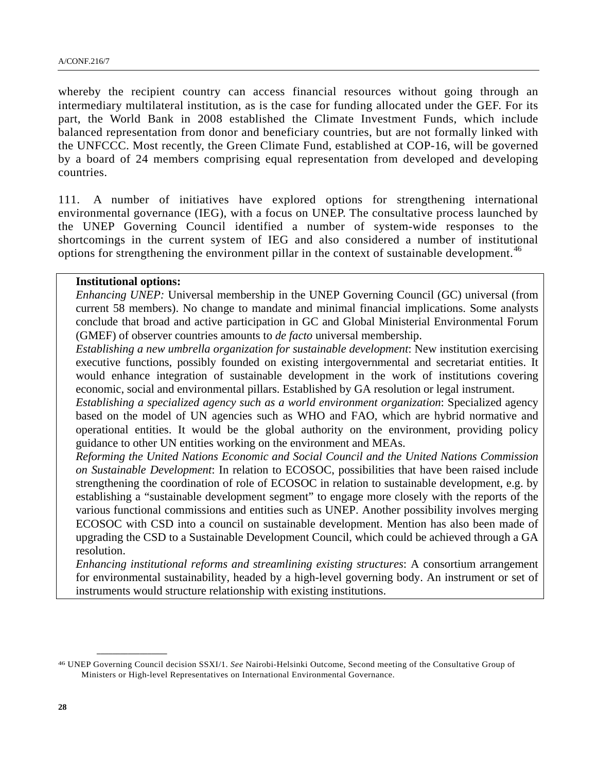whereby the recipient country can access financial resources without going through an intermediary multilateral institution, as is the case for funding allocated under the GEF. For its part, the World Bank in 2008 established the Climate Investment Funds, which include balanced representation from donor and beneficiary countries, but are not formally linked with the UNFCCC. Most recently, the Green Climate Fund, established at COP-16, will be governed by a board of 24 members comprising equal representation from developed and developing countries.

111. A number of initiatives have explored options for strengthening international environmental governance (IEG), with a focus on UNEP. The consultative process launched by the UNEP Governing Council identified a number of system-wide responses to the shortcomings in the current system of IEG and also considered a number of institutional options for strengthening the environment pillar in the context of sustainable development.<sup>[46](#page-27-0)</sup>

#### **Institutional options:**

**\_\_\_\_\_\_\_\_\_\_\_\_\_\_\_\_\_\_** 

*Enhancing UNEP:* Universal membership in the UNEP Governing Council (GC) universal (from current 58 members). No change to mandate and minimal financial implications. Some analysts conclude that broad and active participation in GC and Global Ministerial Environmental Forum (GMEF) of observer countries amounts to *de facto* universal membership.

*Establishing a new umbrella organization for sustainable development*: New institution exercising executive functions, possibly founded on existing intergovernmental and secretariat entities. It would enhance integration of sustainable development in the work of institutions covering economic, social and environmental pillars. Established by GA resolution or legal instrument.

*Establishing a specialized agency such as a world environment organization*: Specialized agency based on the model of UN agencies such as WHO and FAO, which are hybrid normative and operational entities. It would be the global authority on the environment, providing policy guidance to other UN entities working on the environment and MEAs.

*Reforming the United Nations Economic and Social Council and the United Nations Commission on Sustainable Development*: In relation to ECOSOC, possibilities that have been raised include strengthening the coordination of role of ECOSOC in relation to sustainable development, e.g. by establishing a "sustainable development segment" to engage more closely with the reports of the various functional commissions and entities such as UNEP. Another possibility involves merging ECOSOC with CSD into a council on sustainable development. Mention has also been made of upgrading the CSD to a Sustainable Development Council, which could be achieved through a GA resolution.

*Enhancing institutional reforms and streamlining existing structures*: A consortium arrangement for environmental sustainability, headed by a high-level governing body. An instrument or set of instruments would structure relationship with existing institutions.

<span id="page-27-0"></span><sup>46</sup> UNEP Governing Council decision SSXI/1. *See* Nairobi-Helsinki Outcome, Second meeting of the Consultative Group of Ministers or High-level Representatives on International Environmental Governance.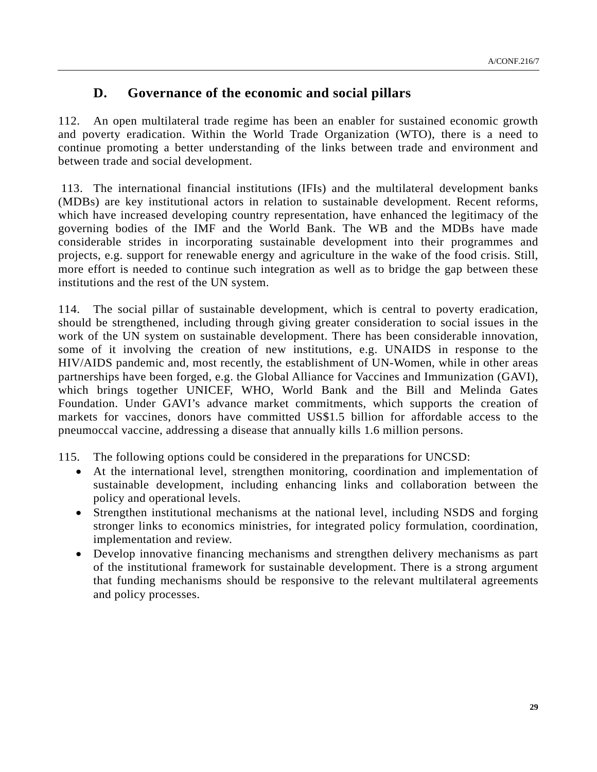# **D. Governance of the economic and social pillars**

112. An open multilateral trade regime has been an enabler for sustained economic growth and poverty eradication. Within the World Trade Organization (WTO), there is a need to continue promoting a better understanding of the links between trade and environment and between trade and social development.

113. The international financial institutions (IFIs) and the multilateral development banks (MDBs) are key institutional actors in relation to sustainable development. Recent reforms, which have increased developing country representation, have enhanced the legitimacy of the governing bodies of the IMF and the World Bank. The WB and the MDBs have made considerable strides in incorporating sustainable development into their programmes and projects, e.g. support for renewable energy and agriculture in the wake of the food crisis. Still, more effort is needed to continue such integration as well as to bridge the gap between these institutions and the rest of the UN system.

114. The social pillar of sustainable development, which is central to poverty eradication, should be strengthened, including through giving greater consideration to social issues in the work of the UN system on sustainable development. There has been considerable innovation, some of it involving the creation of new institutions, e.g. UNAIDS in response to the HIV/AIDS pandemic and, most recently, the establishment of UN-Women, while in other areas partnerships have been forged, e.g. the Global Alliance for Vaccines and Immunization (GAVI), which brings together UNICEF, WHO, World Bank and the Bill and Melinda Gates Foundation. Under GAVI's advance market commitments, which supports the creation of markets for vaccines, donors have committed US\$1.5 billion for affordable access to the pneumoccal vaccine, addressing a disease that annually kills 1.6 million persons.

- 115. The following options could be considered in the preparations for UNCSD:
	- At the international level, strengthen monitoring, coordination and implementation of sustainable development, including enhancing links and collaboration between the policy and operational levels.
	- Strengthen institutional mechanisms at the national level, including NSDS and forging stronger links to economics ministries, for integrated policy formulation, coordination, implementation and review.
	- Develop innovative financing mechanisms and strengthen delivery mechanisms as part of the institutional framework for sustainable development. There is a strong argument that funding mechanisms should be responsive to the relevant multilateral agreements and policy processes.